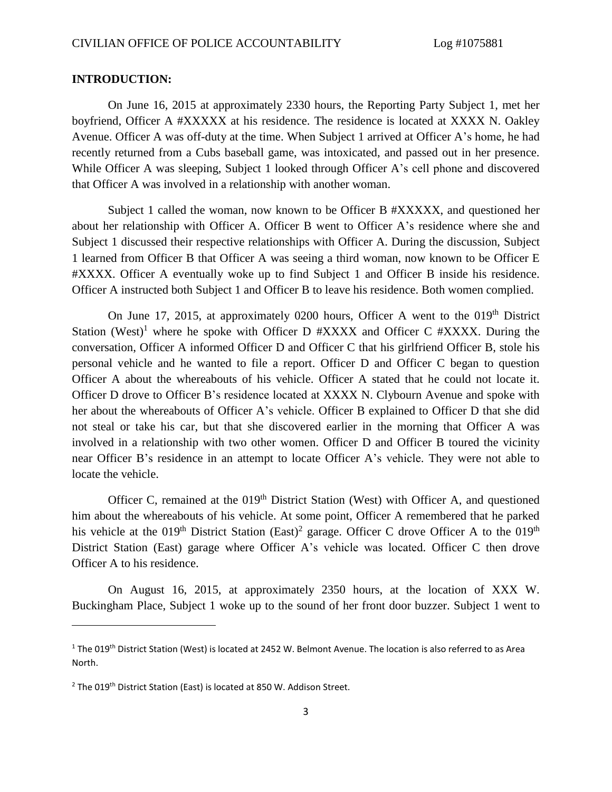#### **INTRODUCTION:**

On June 16, 2015 at approximately 2330 hours, the Reporting Party Subject 1, met her boyfriend, Officer A #XXXXX at his residence. The residence is located at XXXX N. Oakley Avenue. Officer A was off-duty at the time. When Subject 1 arrived at Officer A's home, he had recently returned from a Cubs baseball game, was intoxicated, and passed out in her presence. While Officer A was sleeping, Subject 1 looked through Officer A's cell phone and discovered that Officer A was involved in a relationship with another woman.

Subject 1 called the woman, now known to be Officer B #XXXXX, and questioned her about her relationship with Officer A. Officer B went to Officer A's residence where she and Subject 1 discussed their respective relationships with Officer A. During the discussion, Subject 1 learned from Officer B that Officer A was seeing a third woman, now known to be Officer E #XXXX. Officer A eventually woke up to find Subject 1 and Officer B inside his residence. Officer A instructed both Subject 1 and Officer B to leave his residence. Both women complied.

On June 17, 2015, at approximately 0200 hours, Officer A went to the  $019<sup>th</sup>$  District Station (West)<sup>1</sup> where he spoke with Officer D  $\#XXXX$  and Officer C  $\#XXXX$ . During the conversation, Officer A informed Officer D and Officer C that his girlfriend Officer B, stole his personal vehicle and he wanted to file a report. Officer D and Officer C began to question Officer A about the whereabouts of his vehicle. Officer A stated that he could not locate it. Officer D drove to Officer B's residence located at XXXX N. Clybourn Avenue and spoke with her about the whereabouts of Officer A's vehicle. Officer B explained to Officer D that she did not steal or take his car, but that she discovered earlier in the morning that Officer A was involved in a relationship with two other women. Officer D and Officer B toured the vicinity near Officer B's residence in an attempt to locate Officer A's vehicle. They were not able to locate the vehicle.

Officer C, remained at the  $019<sup>th</sup>$  District Station (West) with Officer A, and questioned him about the whereabouts of his vehicle. At some point, Officer A remembered that he parked his vehicle at the 019<sup>th</sup> District Station (East)<sup>2</sup> garage. Officer C drove Officer A to the 019<sup>th</sup> District Station (East) garage where Officer A's vehicle was located. Officer C then drove Officer A to his residence.

On August 16, 2015, at approximately 2350 hours, at the location of XXX W. Buckingham Place, Subject 1 woke up to the sound of her front door buzzer. Subject 1 went to

 $\overline{a}$ 

 $1$  The 019<sup>th</sup> District Station (West) is located at 2452 W. Belmont Avenue. The location is also referred to as Area North.

 $2$  The 019<sup>th</sup> District Station (East) is located at 850 W. Addison Street.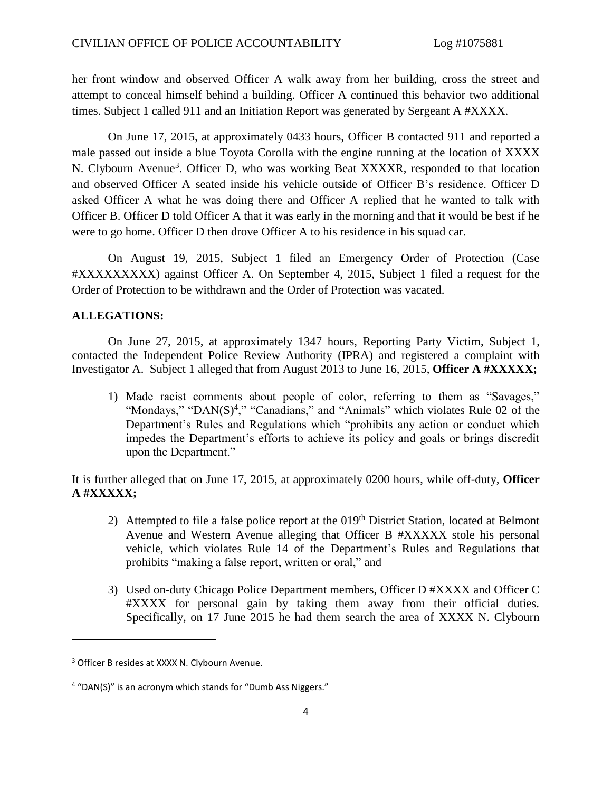her front window and observed Officer A walk away from her building, cross the street and attempt to conceal himself behind a building. Officer A continued this behavior two additional times. Subject 1 called 911 and an Initiation Report was generated by Sergeant A #XXXX.

On June 17, 2015, at approximately 0433 hours, Officer B contacted 911 and reported a male passed out inside a blue Toyota Corolla with the engine running at the location of XXXX N. Clybourn Avenue<sup>3</sup>. Officer D, who was working Beat XXXXR, responded to that location and observed Officer A seated inside his vehicle outside of Officer B's residence. Officer D asked Officer A what he was doing there and Officer A replied that he wanted to talk with Officer B. Officer D told Officer A that it was early in the morning and that it would be best if he were to go home. Officer D then drove Officer A to his residence in his squad car.

On August 19, 2015, Subject 1 filed an Emergency Order of Protection (Case #XXXXXXXXX) against Officer A. On September 4, 2015, Subject 1 filed a request for the Order of Protection to be withdrawn and the Order of Protection was vacated.

#### **ALLEGATIONS:**

On June 27, 2015, at approximately 1347 hours, Reporting Party Victim, Subject 1, contacted the Independent Police Review Authority (IPRA) and registered a complaint with Investigator A. Subject 1 alleged that from August 2013 to June 16, 2015, **Officer A #XXXXX;**

1) Made racist comments about people of color, referring to them as "Savages," "Mondays," "DAN $(S)$ <sup>4</sup>," "Canadians," and "Animals" which violates Rule 02 of the Department's Rules and Regulations which "prohibits any action or conduct which impedes the Department's efforts to achieve its policy and goals or brings discredit upon the Department."

It is further alleged that on June 17, 2015, at approximately 0200 hours, while off-duty, **Officer A #XXXXX;**

- 2) Attempted to file a false police report at the  $019<sup>th</sup>$  District Station, located at Belmont Avenue and Western Avenue alleging that Officer B #XXXXX stole his personal vehicle, which violates Rule 14 of the Department's Rules and Regulations that prohibits "making a false report, written or oral," and
- 3) Used on-duty Chicago Police Department members, Officer D #XXXX and Officer C #XXXX for personal gain by taking them away from their official duties. Specifically, on 17 June 2015 he had them search the area of XXXX N. Clybourn

 $\overline{\phantom{a}}$ 

<sup>&</sup>lt;sup>3</sup> Officer B resides at XXXX N. Clybourn Avenue.

<sup>&</sup>lt;sup>4</sup> "DAN(S)" is an acronym which stands for "Dumb Ass Niggers."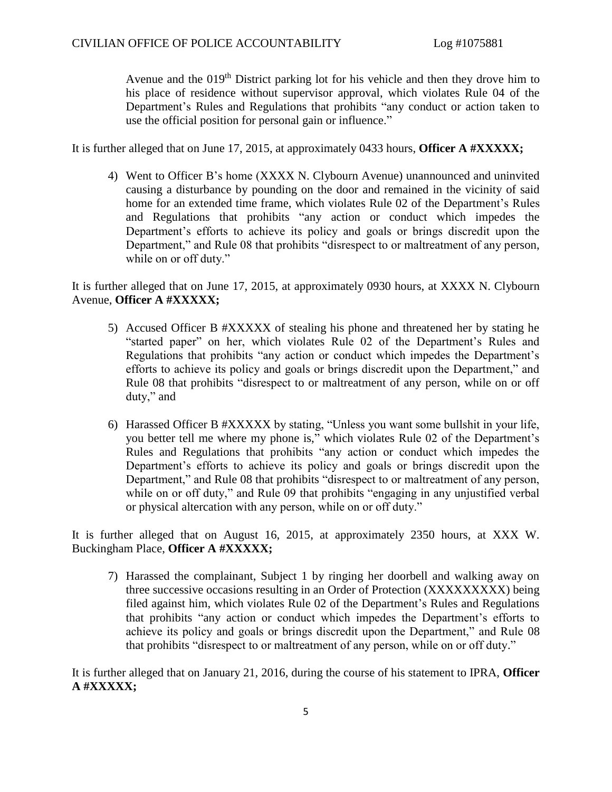Avenue and the 019<sup>th</sup> District parking lot for his vehicle and then they drove him to his place of residence without supervisor approval, which violates Rule 04 of the Department's Rules and Regulations that prohibits "any conduct or action taken to use the official position for personal gain or influence."

It is further alleged that on June 17, 2015, at approximately 0433 hours, **Officer A #XXXXX;**

4) Went to Officer B's home (XXXX N. Clybourn Avenue) unannounced and uninvited causing a disturbance by pounding on the door and remained in the vicinity of said home for an extended time frame, which violates Rule 02 of the Department's Rules and Regulations that prohibits "any action or conduct which impedes the Department's efforts to achieve its policy and goals or brings discredit upon the Department," and Rule 08 that prohibits "disrespect to or maltreatment of any person, while on or off duty."

It is further alleged that on June 17, 2015, at approximately 0930 hours, at XXXX N. Clybourn Avenue, **Officer A #XXXXX;**

- 5) Accused Officer B #XXXXX of stealing his phone and threatened her by stating he "started paper" on her, which violates Rule 02 of the Department's Rules and Regulations that prohibits "any action or conduct which impedes the Department's efforts to achieve its policy and goals or brings discredit upon the Department," and Rule 08 that prohibits "disrespect to or maltreatment of any person, while on or off duty," and
- 6) Harassed Officer B #XXXXX by stating, "Unless you want some bullshit in your life, you better tell me where my phone is," which violates Rule 02 of the Department's Rules and Regulations that prohibits "any action or conduct which impedes the Department's efforts to achieve its policy and goals or brings discredit upon the Department," and Rule 08 that prohibits "disrespect to or maltreatment of any person, while on or off duty," and Rule 09 that prohibits "engaging in any unjustified verbal or physical altercation with any person, while on or off duty."

It is further alleged that on August 16, 2015, at approximately 2350 hours, at XXX W. Buckingham Place, **Officer A #XXXXX;**

7) Harassed the complainant, Subject 1 by ringing her doorbell and walking away on three successive occasions resulting in an Order of Protection (XXXXXXXXX) being filed against him, which violates Rule 02 of the Department's Rules and Regulations that prohibits "any action or conduct which impedes the Department's efforts to achieve its policy and goals or brings discredit upon the Department," and Rule 08 that prohibits "disrespect to or maltreatment of any person, while on or off duty."

It is further alleged that on January 21, 2016, during the course of his statement to IPRA, **Officer A #XXXXX;**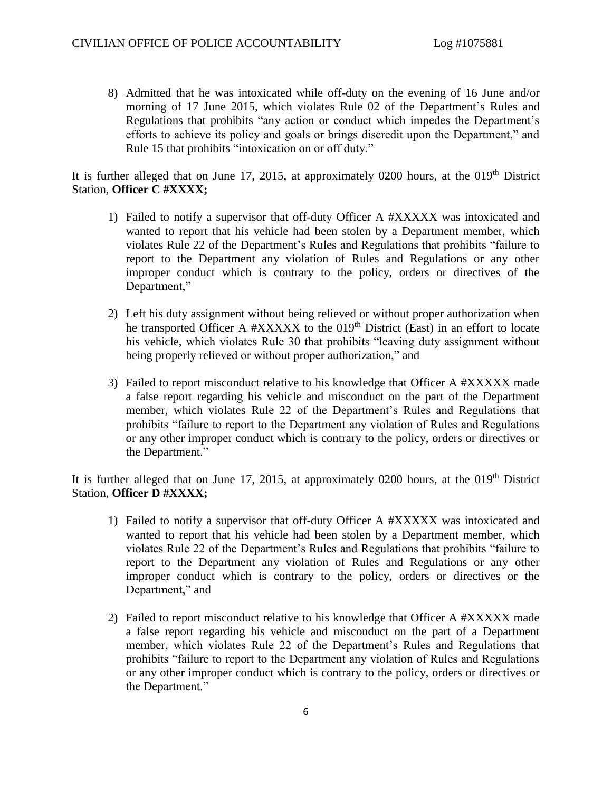8) Admitted that he was intoxicated while off-duty on the evening of 16 June and/or morning of 17 June 2015, which violates Rule 02 of the Department's Rules and Regulations that prohibits "any action or conduct which impedes the Department's efforts to achieve its policy and goals or brings discredit upon the Department," and Rule 15 that prohibits "intoxication on or off duty."

It is further alleged that on June 17, 2015, at approximately 0200 hours, at the  $019<sup>th</sup>$  District Station, **Officer C #XXXX;**

- 1) Failed to notify a supervisor that off-duty Officer A #XXXXX was intoxicated and wanted to report that his vehicle had been stolen by a Department member, which violates Rule 22 of the Department's Rules and Regulations that prohibits "failure to report to the Department any violation of Rules and Regulations or any other improper conduct which is contrary to the policy, orders or directives of the Department,"
- 2) Left his duty assignment without being relieved or without proper authorization when he transported Officer A #XXXXX to the 019<sup>th</sup> District (East) in an effort to locate his vehicle, which violates Rule 30 that prohibits "leaving duty assignment without being properly relieved or without proper authorization," and
- 3) Failed to report misconduct relative to his knowledge that Officer A #XXXXX made a false report regarding his vehicle and misconduct on the part of the Department member, which violates Rule 22 of the Department's Rules and Regulations that prohibits "failure to report to the Department any violation of Rules and Regulations or any other improper conduct which is contrary to the policy, orders or directives or the Department."

It is further alleged that on June 17, 2015, at approximately 0200 hours, at the  $019<sup>th</sup>$  District Station, **Officer D #XXXX;**

- 1) Failed to notify a supervisor that off-duty Officer A #XXXXX was intoxicated and wanted to report that his vehicle had been stolen by a Department member, which violates Rule 22 of the Department's Rules and Regulations that prohibits "failure to report to the Department any violation of Rules and Regulations or any other improper conduct which is contrary to the policy, orders or directives or the Department," and
- 2) Failed to report misconduct relative to his knowledge that Officer A #XXXXX made a false report regarding his vehicle and misconduct on the part of a Department member, which violates Rule 22 of the Department's Rules and Regulations that prohibits "failure to report to the Department any violation of Rules and Regulations or any other improper conduct which is contrary to the policy, orders or directives or the Department."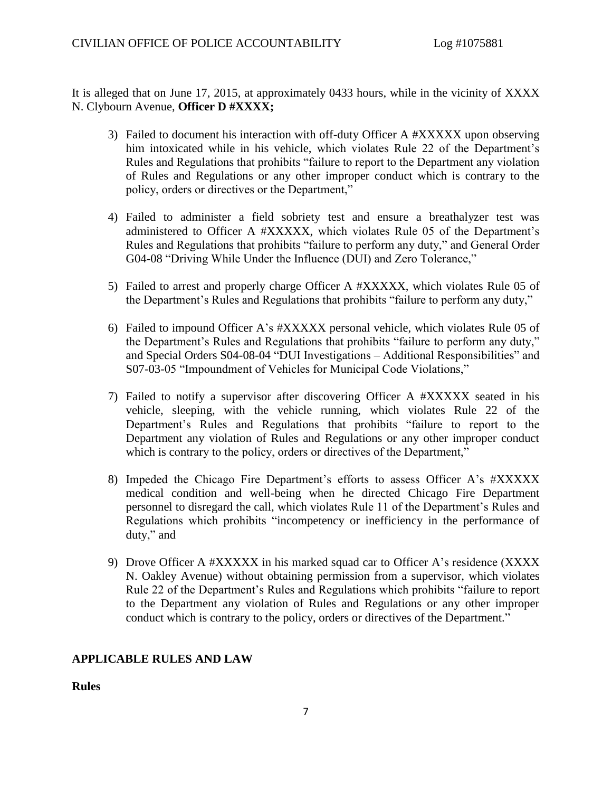It is alleged that on June 17, 2015, at approximately 0433 hours, while in the vicinity of XXXX N. Clybourn Avenue, **Officer D #XXXX;**

- 3) Failed to document his interaction with off-duty Officer A #XXXXX upon observing him intoxicated while in his vehicle, which violates Rule 22 of the Department's Rules and Regulations that prohibits "failure to report to the Department any violation of Rules and Regulations or any other improper conduct which is contrary to the policy, orders or directives or the Department,"
- 4) Failed to administer a field sobriety test and ensure a breathalyzer test was administered to Officer A #XXXXX, which violates Rule 05 of the Department's Rules and Regulations that prohibits "failure to perform any duty," and General Order G04-08 "Driving While Under the Influence (DUI) and Zero Tolerance,"
- 5) Failed to arrest and properly charge Officer A #XXXXX, which violates Rule 05 of the Department's Rules and Regulations that prohibits "failure to perform any duty,"
- 6) Failed to impound Officer A's #XXXXX personal vehicle, which violates Rule 05 of the Department's Rules and Regulations that prohibits "failure to perform any duty," and Special Orders S04-08-04 "DUI Investigations – Additional Responsibilities" and S07-03-05 "Impoundment of Vehicles for Municipal Code Violations,"
- 7) Failed to notify a supervisor after discovering Officer A #XXXXX seated in his vehicle, sleeping, with the vehicle running, which violates Rule 22 of the Department's Rules and Regulations that prohibits "failure to report to the Department any violation of Rules and Regulations or any other improper conduct which is contrary to the policy, orders or directives of the Department,"
- 8) Impeded the Chicago Fire Department's efforts to assess Officer A's #XXXXX medical condition and well-being when he directed Chicago Fire Department personnel to disregard the call, which violates Rule 11 of the Department's Rules and Regulations which prohibits "incompetency or inefficiency in the performance of duty," and
- 9) Drove Officer A #XXXXX in his marked squad car to Officer A's residence (XXXX N. Oakley Avenue) without obtaining permission from a supervisor, which violates Rule 22 of the Department's Rules and Regulations which prohibits "failure to report to the Department any violation of Rules and Regulations or any other improper conduct which is contrary to the policy, orders or directives of the Department."

## **APPLICABLE RULES AND LAW**

**Rules**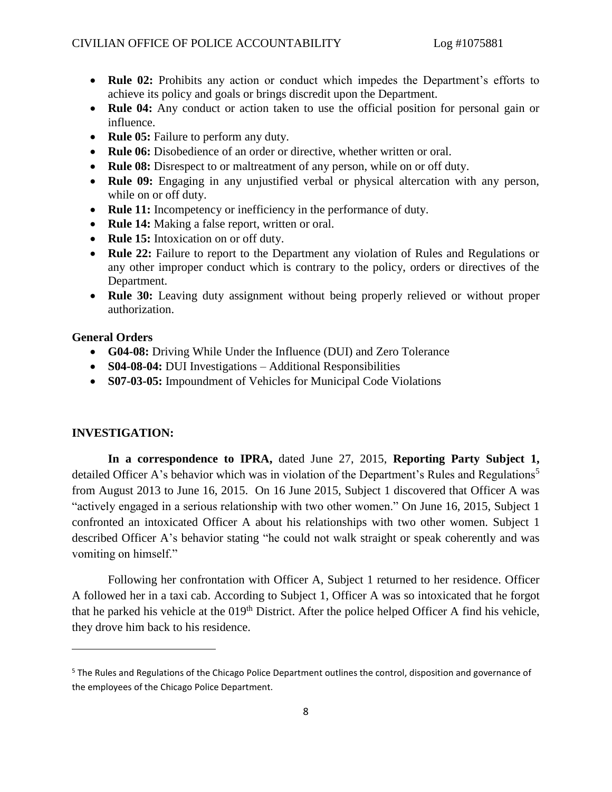- **Rule 02:** Prohibits any action or conduct which impedes the Department's efforts to achieve its policy and goals or brings discredit upon the Department.
- **Rule 04:** Any conduct or action taken to use the official position for personal gain or influence.
- **Rule 05:** Failure to perform any duty.
- **Rule 06:** Disobedience of an order or directive, whether written or oral.
- **Rule 08:** Disrespect to or maltreatment of any person, while on or off duty.
- **Rule 09:** Engaging in any unjustified verbal or physical altercation with any person, while on or off duty.
- **Rule 11:** Incompetency or inefficiency in the performance of duty.
- **Rule 14:** Making a false report, written or oral.
- **Rule 15:** Intoxication on or off duty.
- **Rule 22:** Failure to report to the Department any violation of Rules and Regulations or any other improper conduct which is contrary to the policy, orders or directives of the Department.
- **Rule 30:** Leaving duty assignment without being properly relieved or without proper authorization.

### **General Orders**

- **G04-08:** Driving While Under the Influence (DUI) and Zero Tolerance
- **S04-08-04:** DUI Investigations Additional Responsibilities
- **S07-03-05:** Impoundment of Vehicles for Municipal Code Violations

#### **INVESTIGATION:**

 $\overline{a}$ 

**In a correspondence to IPRA,** dated June 27, 2015, **Reporting Party Subject 1,** detailed Officer A's behavior which was in violation of the Department's Rules and Regulations<sup>5</sup> from August 2013 to June 16, 2015. On 16 June 2015, Subject 1 discovered that Officer A was "actively engaged in a serious relationship with two other women." On June 16, 2015, Subject 1 confronted an intoxicated Officer A about his relationships with two other women. Subject 1 described Officer A's behavior stating "he could not walk straight or speak coherently and was vomiting on himself."

Following her confrontation with Officer A, Subject 1 returned to her residence. Officer A followed her in a taxi cab. According to Subject 1, Officer A was so intoxicated that he forgot that he parked his vehicle at the 019<sup>th</sup> District. After the police helped Officer A find his vehicle, they drove him back to his residence.

<sup>&</sup>lt;sup>5</sup> The Rules and Regulations of the Chicago Police Department outlines the control, disposition and governance of the employees of the Chicago Police Department.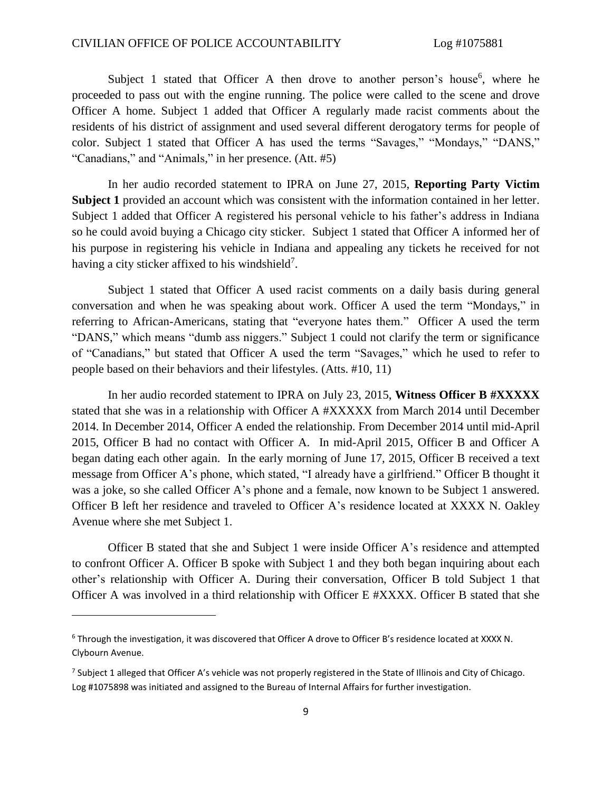Subject 1 stated that Officer A then drove to another person's house<sup>6</sup>, where he proceeded to pass out with the engine running. The police were called to the scene and drove Officer A home. Subject 1 added that Officer A regularly made racist comments about the residents of his district of assignment and used several different derogatory terms for people of color. Subject 1 stated that Officer A has used the terms "Savages," "Mondays," "DANS," "Canadians," and "Animals," in her presence. (Att. #5)

In her audio recorded statement to IPRA on June 27, 2015, **Reporting Party Victim Subject 1** provided an account which was consistent with the information contained in her letter. Subject 1 added that Officer A registered his personal vehicle to his father's address in Indiana so he could avoid buying a Chicago city sticker. Subject 1 stated that Officer A informed her of his purpose in registering his vehicle in Indiana and appealing any tickets he received for not having a city sticker affixed to his windshield<sup>7</sup>.

Subject 1 stated that Officer A used racist comments on a daily basis during general conversation and when he was speaking about work. Officer A used the term "Mondays," in referring to African-Americans, stating that "everyone hates them." Officer A used the term "DANS," which means "dumb ass niggers." Subject 1 could not clarify the term or significance of "Canadians," but stated that Officer A used the term "Savages," which he used to refer to people based on their behaviors and their lifestyles. (Atts. #10, 11)

In her audio recorded statement to IPRA on July 23, 2015, **Witness Officer B #XXXXX** stated that she was in a relationship with Officer A #XXXXX from March 2014 until December 2014. In December 2014, Officer A ended the relationship. From December 2014 until mid-April 2015, Officer B had no contact with Officer A. In mid-April 2015, Officer B and Officer A began dating each other again. In the early morning of June 17, 2015, Officer B received a text message from Officer A's phone, which stated, "I already have a girlfriend." Officer B thought it was a joke, so she called Officer A's phone and a female, now known to be Subject 1 answered. Officer B left her residence and traveled to Officer A's residence located at XXXX N. Oakley Avenue where she met Subject 1.

Officer B stated that she and Subject 1 were inside Officer A's residence and attempted to confront Officer A. Officer B spoke with Subject 1 and they both began inquiring about each other's relationship with Officer A. During their conversation, Officer B told Subject 1 that Officer A was involved in a third relationship with Officer E #XXXX. Officer B stated that she

<sup>6</sup> Through the investigation, it was discovered that Officer A drove to Officer B's residence located at XXXX N. Clybourn Avenue.

<sup>&</sup>lt;sup>7</sup> Subject 1 alleged that Officer A's vehicle was not properly registered in the State of Illinois and City of Chicago. Log #1075898 was initiated and assigned to the Bureau of Internal Affairs for further investigation.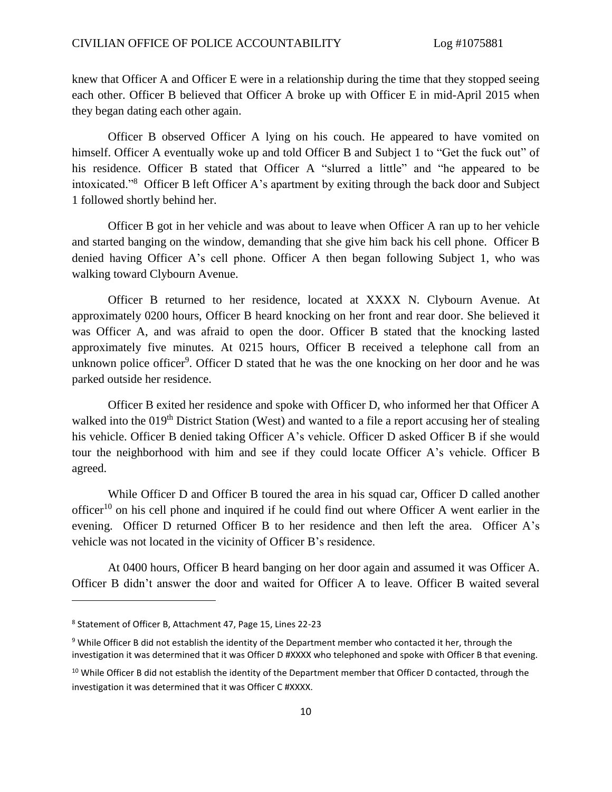knew that Officer A and Officer E were in a relationship during the time that they stopped seeing each other. Officer B believed that Officer A broke up with Officer E in mid-April 2015 when they began dating each other again.

Officer B observed Officer A lying on his couch. He appeared to have vomited on himself. Officer A eventually woke up and told Officer B and Subject 1 to "Get the fuck out" of his residence. Officer B stated that Officer A "slurred a little" and "he appeared to be intoxicated."<sup>8</sup> Officer B left Officer A's apartment by exiting through the back door and Subject 1 followed shortly behind her.

Officer B got in her vehicle and was about to leave when Officer A ran up to her vehicle and started banging on the window, demanding that she give him back his cell phone. Officer B denied having Officer A's cell phone. Officer A then began following Subject 1, who was walking toward Clybourn Avenue.

Officer B returned to her residence, located at XXXX N. Clybourn Avenue. At approximately 0200 hours, Officer B heard knocking on her front and rear door. She believed it was Officer A, and was afraid to open the door. Officer B stated that the knocking lasted approximately five minutes. At 0215 hours, Officer B received a telephone call from an unknown police officer<sup>9</sup>. Officer D stated that he was the one knocking on her door and he was parked outside her residence.

Officer B exited her residence and spoke with Officer D, who informed her that Officer A walked into the 019<sup>th</sup> District Station (West) and wanted to a file a report accusing her of stealing his vehicle. Officer B denied taking Officer A's vehicle. Officer D asked Officer B if she would tour the neighborhood with him and see if they could locate Officer A's vehicle. Officer B agreed.

While Officer D and Officer B toured the area in his squad car, Officer D called another officer<sup>10</sup> on his cell phone and inquired if he could find out where Officer A went earlier in the evening. Officer D returned Officer B to her residence and then left the area. Officer A's vehicle was not located in the vicinity of Officer B's residence.

At 0400 hours, Officer B heard banging on her door again and assumed it was Officer A. Officer B didn't answer the door and waited for Officer A to leave. Officer B waited several

 $\overline{\phantom{a}}$ 

<sup>8</sup> Statement of Officer B, Attachment 47, Page 15, Lines 22-23

<sup>&</sup>lt;sup>9</sup> While Officer B did not establish the identity of the Department member who contacted it her, through the investigation it was determined that it was Officer D #XXXX who telephoned and spoke with Officer B that evening.

 $10$  While Officer B did not establish the identity of the Department member that Officer D contacted, through the investigation it was determined that it was Officer C #XXXX.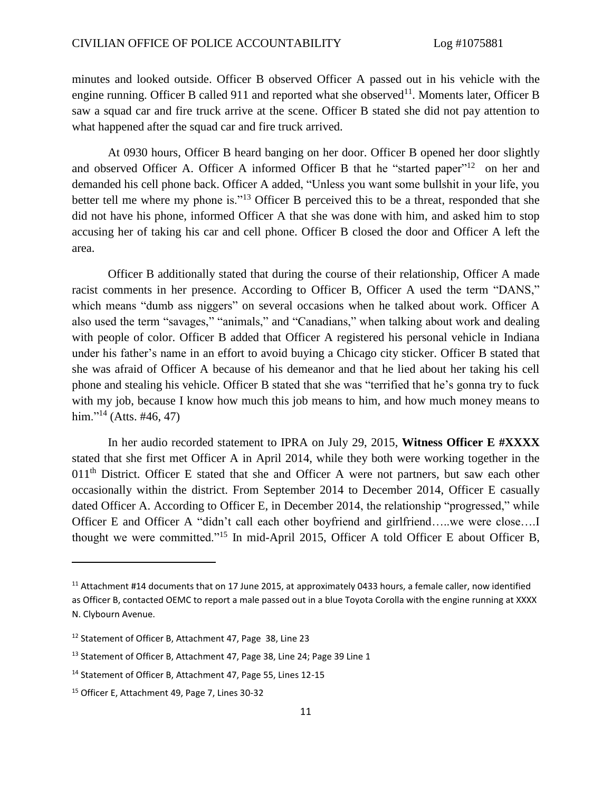minutes and looked outside. Officer B observed Officer A passed out in his vehicle with the engine running. Officer B called 911 and reported what she observed<sup>11</sup>. Moments later, Officer B saw a squad car and fire truck arrive at the scene. Officer B stated she did not pay attention to what happened after the squad car and fire truck arrived.

At 0930 hours, Officer B heard banging on her door. Officer B opened her door slightly and observed Officer A. Officer A informed Officer B that he "started paper"<sup>12</sup> on her and demanded his cell phone back. Officer A added, "Unless you want some bullshit in your life, you better tell me where my phone is."<sup>13</sup> Officer B perceived this to be a threat, responded that she did not have his phone, informed Officer A that she was done with him, and asked him to stop accusing her of taking his car and cell phone. Officer B closed the door and Officer A left the area.

Officer B additionally stated that during the course of their relationship, Officer A made racist comments in her presence. According to Officer B, Officer A used the term "DANS," which means "dumb ass niggers" on several occasions when he talked about work. Officer A also used the term "savages," "animals," and "Canadians," when talking about work and dealing with people of color. Officer B added that Officer A registered his personal vehicle in Indiana under his father's name in an effort to avoid buying a Chicago city sticker. Officer B stated that she was afraid of Officer A because of his demeanor and that he lied about her taking his cell phone and stealing his vehicle. Officer B stated that she was "terrified that he's gonna try to fuck with my job, because I know how much this job means to him, and how much money means to him."<sup>14</sup> (Atts. #46, 47)

In her audio recorded statement to IPRA on July 29, 2015, **Witness Officer E #XXXX** stated that she first met Officer A in April 2014, while they both were working together in the 011<sup>th</sup> District. Officer E stated that she and Officer A were not partners, but saw each other occasionally within the district. From September 2014 to December 2014, Officer E casually dated Officer A. According to Officer E, in December 2014, the relationship "progressed," while Officer E and Officer A "didn't call each other boyfriend and girlfriend…..we were close….I thought we were committed."<sup>15</sup> In mid-April 2015, Officer A told Officer E about Officer B,

 $\overline{\phantom{a}}$ 

<sup>&</sup>lt;sup>11</sup> Attachment #14 documents that on 17 June 2015, at approximately 0433 hours, a female caller, now identified as Officer B, contacted OEMC to report a male passed out in a blue Toyota Corolla with the engine running at XXXX N. Clybourn Avenue.

<sup>12</sup> Statement of Officer B, Attachment 47, Page 38, Line 23

<sup>&</sup>lt;sup>13</sup> Statement of Officer B, Attachment 47, Page 38, Line 24; Page 39 Line 1

<sup>14</sup> Statement of Officer B, Attachment 47, Page 55, Lines 12-15

<sup>15</sup> Officer E, Attachment 49, Page 7, Lines 30-32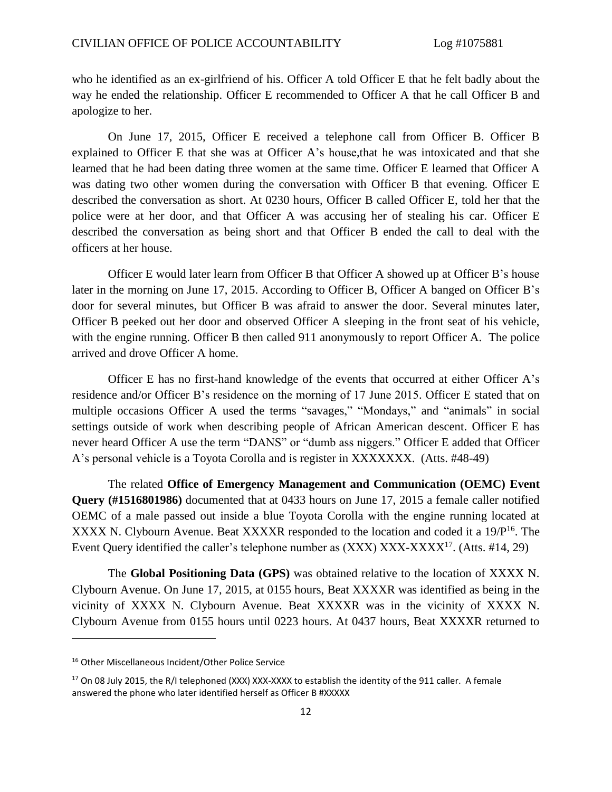who he identified as an ex-girlfriend of his. Officer A told Officer E that he felt badly about the way he ended the relationship. Officer E recommended to Officer A that he call Officer B and apologize to her.

On June 17, 2015, Officer E received a telephone call from Officer B. Officer B explained to Officer E that she was at Officer A's house,that he was intoxicated and that she learned that he had been dating three women at the same time. Officer E learned that Officer A was dating two other women during the conversation with Officer B that evening. Officer E described the conversation as short. At 0230 hours, Officer B called Officer E, told her that the police were at her door, and that Officer A was accusing her of stealing his car. Officer E described the conversation as being short and that Officer B ended the call to deal with the officers at her house.

Officer E would later learn from Officer B that Officer A showed up at Officer B's house later in the morning on June 17, 2015. According to Officer B, Officer A banged on Officer B's door for several minutes, but Officer B was afraid to answer the door. Several minutes later, Officer B peeked out her door and observed Officer A sleeping in the front seat of his vehicle, with the engine running. Officer B then called 911 anonymously to report Officer A. The police arrived and drove Officer A home.

Officer E has no first-hand knowledge of the events that occurred at either Officer A's residence and/or Officer B's residence on the morning of 17 June 2015. Officer E stated that on multiple occasions Officer A used the terms "savages," "Mondays," and "animals" in social settings outside of work when describing people of African American descent. Officer E has never heard Officer A use the term "DANS" or "dumb ass niggers." Officer E added that Officer A's personal vehicle is a Toyota Corolla and is register in XXXXXXX. (Atts. #48-49)

The related **Office of Emergency Management and Communication (OEMC) Event Query (#1516801986)** documented that at 0433 hours on June 17, 2015 a female caller notified OEMC of a male passed out inside a blue Toyota Corolla with the engine running located at XXXX N. Clybourn Avenue. Beat XXXXR responded to the location and coded it a  $19/P^{16}$ . The Event Query identified the caller's telephone number as (XXX) XXX-XXXX<sup>17</sup>. (Atts. #14, 29)

The **Global Positioning Data (GPS)** was obtained relative to the location of XXXX N. Clybourn Avenue. On June 17, 2015, at 0155 hours, Beat XXXXR was identified as being in the vicinity of XXXX N. Clybourn Avenue. Beat XXXXR was in the vicinity of XXXX N. Clybourn Avenue from 0155 hours until 0223 hours. At 0437 hours, Beat XXXXR returned to

 $\overline{a}$ 

<sup>16</sup> Other Miscellaneous Incident/Other Police Service

<sup>&</sup>lt;sup>17</sup> On 08 July 2015, the R/I telephoned (XXX) XXX-XXXX to establish the identity of the 911 caller. A female answered the phone who later identified herself as Officer B #XXXXX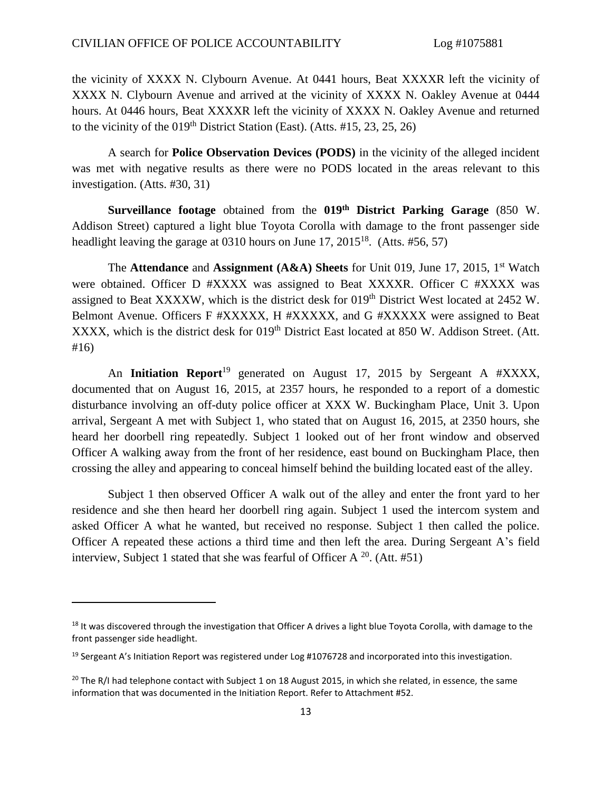the vicinity of XXXX N. Clybourn Avenue. At 0441 hours, Beat XXXXR left the vicinity of XXXX N. Clybourn Avenue and arrived at the vicinity of XXXX N. Oakley Avenue at 0444 hours. At 0446 hours, Beat XXXXR left the vicinity of XXXX N. Oakley Avenue and returned to the vicinity of the  $019<sup>th</sup>$  District Station (East). (Atts. #15, 23, 25, 26)

A search for **Police Observation Devices (PODS)** in the vicinity of the alleged incident was met with negative results as there were no PODS located in the areas relevant to this investigation. (Atts. #30, 31)

**Surveillance footage** obtained from the **019th District Parking Garage** (850 W. Addison Street) captured a light blue Toyota Corolla with damage to the front passenger side headlight leaving the garage at  $0310$  hours on June 17,  $2015^{18}$ . (Atts. #56, 57)

The **Attendance** and **Assignment (A&A) Sheets** for Unit 019, June 17, 2015, 1st Watch were obtained. Officer D #XXXX was assigned to Beat XXXXR. Officer C #XXXX was assigned to Beat XXXXW, which is the district desk for 019<sup>th</sup> District West located at 2452 W. Belmont Avenue. Officers F #XXXXX, H #XXXXX, and G #XXXXX were assigned to Beat XXXX, which is the district desk for 019<sup>th</sup> District East located at 850 W. Addison Street. (Att. #16)

An **Initiation Report**<sup>19</sup> generated on August 17, 2015 by Sergeant A #XXXX, documented that on August 16, 2015, at 2357 hours, he responded to a report of a domestic disturbance involving an off-duty police officer at XXX W. Buckingham Place, Unit 3. Upon arrival, Sergeant A met with Subject 1, who stated that on August 16, 2015, at 2350 hours, she heard her doorbell ring repeatedly. Subject 1 looked out of her front window and observed Officer A walking away from the front of her residence, east bound on Buckingham Place, then crossing the alley and appearing to conceal himself behind the building located east of the alley.

Subject 1 then observed Officer A walk out of the alley and enter the front yard to her residence and she then heard her doorbell ring again. Subject 1 used the intercom system and asked Officer A what he wanted, but received no response. Subject 1 then called the police. Officer A repeated these actions a third time and then left the area. During Sergeant A's field interview, Subject 1 stated that she was fearful of Officer A  $^{20}$ . (Att. #51)

 $18$  It was discovered through the investigation that Officer A drives a light blue Toyota Corolla, with damage to the front passenger side headlight.

<sup>&</sup>lt;sup>19</sup> Sergeant A's Initiation Report was registered under Log #1076728 and incorporated into this investigation.

<sup>&</sup>lt;sup>20</sup> The R/I had telephone contact with Subject 1 on 18 August 2015, in which she related, in essence, the same information that was documented in the Initiation Report. Refer to Attachment #52.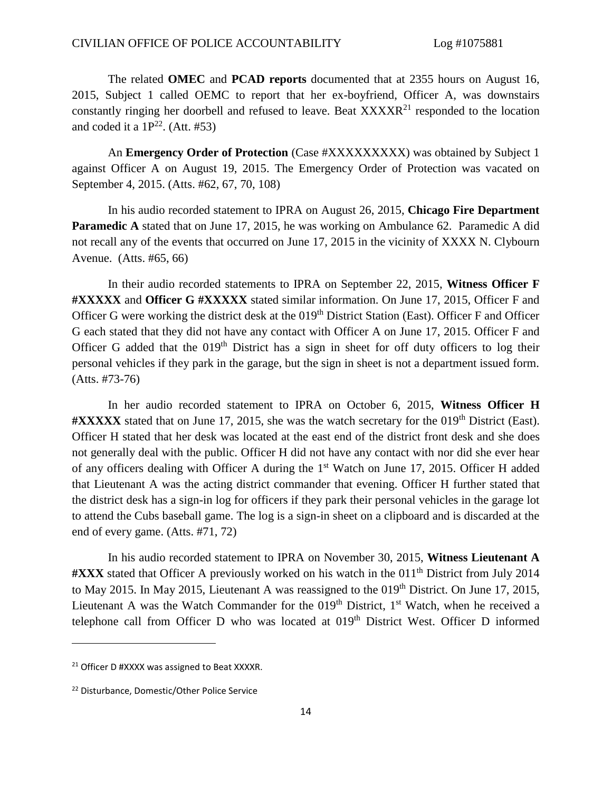The related **OMEC** and **PCAD reports** documented that at 2355 hours on August 16, 2015, Subject 1 called OEMC to report that her ex-boyfriend, Officer A, was downstairs constantly ringing her doorbell and refused to leave. Beat XXXXR<sup>21</sup> responded to the location and coded it a  $1P^{22}$ . (Att. #53)

An **Emergency Order of Protection** (Case #XXXXXXXXX) was obtained by Subject 1 against Officer A on August 19, 2015. The Emergency Order of Protection was vacated on September 4, 2015. (Atts. #62, 67, 70, 108)

In his audio recorded statement to IPRA on August 26, 2015, **Chicago Fire Department Paramedic A** stated that on June 17, 2015, he was working on Ambulance 62. Paramedic A did not recall any of the events that occurred on June 17, 2015 in the vicinity of XXXX N. Clybourn Avenue. (Atts. #65, 66)

In their audio recorded statements to IPRA on September 22, 2015, **Witness Officer F #XXXXX** and **Officer G #XXXXX** stated similar information. On June 17, 2015, Officer F and Officer G were working the district desk at the 019<sup>th</sup> District Station (East). Officer F and Officer G each stated that they did not have any contact with Officer A on June 17, 2015. Officer F and Officer G added that the  $019<sup>th</sup>$  District has a sign in sheet for off duty officers to log their personal vehicles if they park in the garage, but the sign in sheet is not a department issued form. (Atts. #73-76)

In her audio recorded statement to IPRA on October 6, 2015, **Witness Officer H #XXXXX** stated that on June 17, 2015, she was the watch secretary for the 019th District (East). Officer H stated that her desk was located at the east end of the district front desk and she does not generally deal with the public. Officer H did not have any contact with nor did she ever hear of any officers dealing with Officer A during the 1<sup>st</sup> Watch on June 17, 2015. Officer H added that Lieutenant A was the acting district commander that evening. Officer H further stated that the district desk has a sign-in log for officers if they park their personal vehicles in the garage lot to attend the Cubs baseball game. The log is a sign-in sheet on a clipboard and is discarded at the end of every game. (Atts. #71, 72)

In his audio recorded statement to IPRA on November 30, 2015, **Witness Lieutenant A #XXX** stated that Officer A previously worked on his watch in the 011th District from July 2014 to May 2015. In May 2015, Lieutenant A was reassigned to the  $019<sup>th</sup>$  District. On June 17, 2015, Lieutenant A was the Watch Commander for the  $019<sup>th</sup>$  District,  $1<sup>st</sup>$  Watch, when he received a telephone call from Officer D who was located at 019<sup>th</sup> District West. Officer D informed

 $\overline{a}$ 

<sup>&</sup>lt;sup>21</sup> Officer D #XXXX was assigned to Beat XXXXR.

<sup>22</sup> Disturbance, Domestic/Other Police Service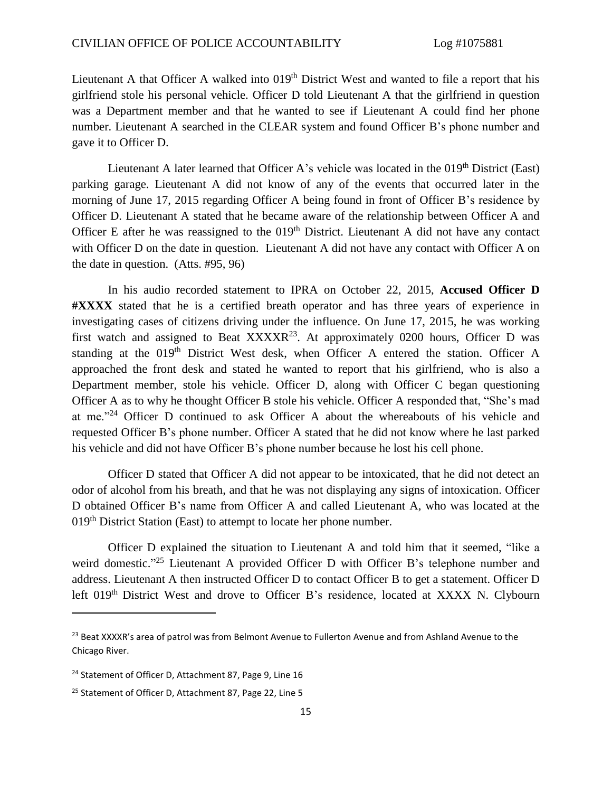Lieutenant A that Officer A walked into 019<sup>th</sup> District West and wanted to file a report that his girlfriend stole his personal vehicle. Officer D told Lieutenant A that the girlfriend in question was a Department member and that he wanted to see if Lieutenant A could find her phone number. Lieutenant A searched in the CLEAR system and found Officer B's phone number and gave it to Officer D.

Lieutenant A later learned that Officer A's vehicle was located in the  $019<sup>th</sup>$  District (East) parking garage. Lieutenant A did not know of any of the events that occurred later in the morning of June 17, 2015 regarding Officer A being found in front of Officer B's residence by Officer D. Lieutenant A stated that he became aware of the relationship between Officer A and Officer E after he was reassigned to the  $019<sup>th</sup>$  District. Lieutenant A did not have any contact with Officer D on the date in question. Lieutenant A did not have any contact with Officer A on the date in question. (Atts. #95, 96)

In his audio recorded statement to IPRA on October 22, 2015, **Accused Officer D #XXXX** stated that he is a certified breath operator and has three years of experience in investigating cases of citizens driving under the influence. On June 17, 2015, he was working first watch and assigned to Beat  $XXXXR^{23}$ . At approximately 0200 hours, Officer D was standing at the 019<sup>th</sup> District West desk, when Officer A entered the station. Officer A approached the front desk and stated he wanted to report that his girlfriend, who is also a Department member, stole his vehicle. Officer D, along with Officer C began questioning Officer A as to why he thought Officer B stole his vehicle. Officer A responded that, "She's mad at me."<sup>24</sup> Officer D continued to ask Officer A about the whereabouts of his vehicle and requested Officer B's phone number. Officer A stated that he did not know where he last parked his vehicle and did not have Officer B's phone number because he lost his cell phone.

Officer D stated that Officer A did not appear to be intoxicated, that he did not detect an odor of alcohol from his breath, and that he was not displaying any signs of intoxication. Officer D obtained Officer B's name from Officer A and called Lieutenant A, who was located at the 019<sup>th</sup> District Station (East) to attempt to locate her phone number.

Officer D explained the situation to Lieutenant A and told him that it seemed, "like a weird domestic."<sup>25</sup> Lieutenant A provided Officer D with Officer B's telephone number and address. Lieutenant A then instructed Officer D to contact Officer B to get a statement. Officer D left 019<sup>th</sup> District West and drove to Officer B's residence, located at XXXX N. Clybourn

<sup>&</sup>lt;sup>23</sup> Beat XXXXR's area of patrol was from Belmont Avenue to Fullerton Avenue and from Ashland Avenue to the Chicago River.

<sup>&</sup>lt;sup>24</sup> Statement of Officer D, Attachment 87, Page 9, Line 16

<sup>&</sup>lt;sup>25</sup> Statement of Officer D, Attachment 87, Page 22, Line 5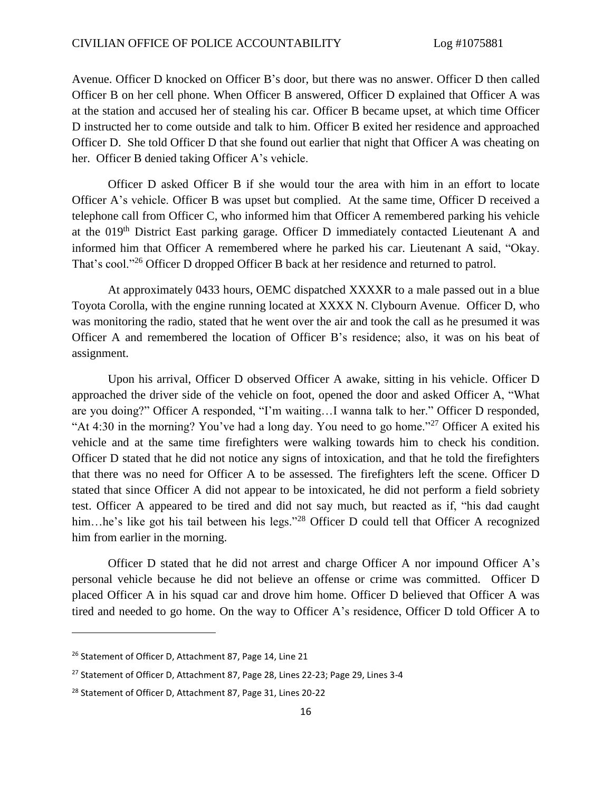Avenue. Officer D knocked on Officer B's door, but there was no answer. Officer D then called Officer B on her cell phone. When Officer B answered, Officer D explained that Officer A was at the station and accused her of stealing his car. Officer B became upset, at which time Officer D instructed her to come outside and talk to him. Officer B exited her residence and approached Officer D. She told Officer D that she found out earlier that night that Officer A was cheating on her. Officer B denied taking Officer A's vehicle.

Officer D asked Officer B if she would tour the area with him in an effort to locate Officer A's vehicle. Officer B was upset but complied. At the same time, Officer D received a telephone call from Officer C, who informed him that Officer A remembered parking his vehicle at the 019th District East parking garage. Officer D immediately contacted Lieutenant A and informed him that Officer A remembered where he parked his car. Lieutenant A said, "Okay. That's cool."<sup>26</sup> Officer D dropped Officer B back at her residence and returned to patrol.

At approximately 0433 hours, OEMC dispatched XXXXR to a male passed out in a blue Toyota Corolla, with the engine running located at XXXX N. Clybourn Avenue. Officer D, who was monitoring the radio, stated that he went over the air and took the call as he presumed it was Officer A and remembered the location of Officer B's residence; also, it was on his beat of assignment.

Upon his arrival, Officer D observed Officer A awake, sitting in his vehicle. Officer D approached the driver side of the vehicle on foot, opened the door and asked Officer A, "What are you doing?" Officer A responded, "I'm waiting…I wanna talk to her." Officer D responded, "At 4:30 in the morning? You've had a long day. You need to go home."<sup>27</sup> Officer A exited his vehicle and at the same time firefighters were walking towards him to check his condition. Officer D stated that he did not notice any signs of intoxication, and that he told the firefighters that there was no need for Officer A to be assessed. The firefighters left the scene. Officer D stated that since Officer A did not appear to be intoxicated, he did not perform a field sobriety test. Officer A appeared to be tired and did not say much, but reacted as if, "his dad caught him...he's like got his tail between his legs."<sup>28</sup> Officer D could tell that Officer A recognized him from earlier in the morning.

Officer D stated that he did not arrest and charge Officer A nor impound Officer A's personal vehicle because he did not believe an offense or crime was committed. Officer D placed Officer A in his squad car and drove him home. Officer D believed that Officer A was tired and needed to go home. On the way to Officer A's residence, Officer D told Officer A to

 $\overline{a}$ 

<sup>&</sup>lt;sup>26</sup> Statement of Officer D, Attachment 87, Page 14, Line 21

<sup>&</sup>lt;sup>27</sup> Statement of Officer D, Attachment 87, Page 28, Lines 22-23; Page 29, Lines 3-4

<sup>&</sup>lt;sup>28</sup> Statement of Officer D, Attachment 87, Page 31, Lines 20-22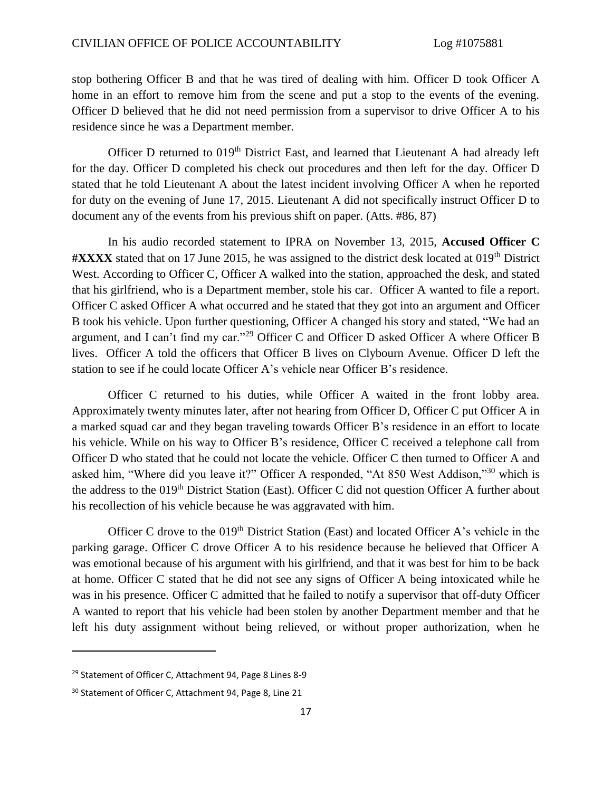stop bothering Officer B and that he was tired of dealing with him. Officer D took Officer A home in an effort to remove him from the scene and put a stop to the events of the evening. Officer D believed that he did not need permission from a supervisor to drive Officer A to his residence since he was a Department member.

Officer D returned to 019<sup>th</sup> District East, and learned that Lieutenant A had already left for the day. Officer D completed his check out procedures and then left for the day. Officer D stated that he told Lieutenant A about the latest incident involving Officer A when he reported for duty on the evening of June 17, 2015. Lieutenant A did not specifically instruct Officer D to document any of the events from his previous shift on paper. (Atts. #86, 87)

In his audio recorded statement to IPRA on November 13, 2015, **Accused Officer C #XXXX** stated that on 17 June 2015, he was assigned to the district desk located at 019th District West. According to Officer C, Officer A walked into the station, approached the desk, and stated that his girlfriend, who is a Department member, stole his car. Officer A wanted to file a report. Officer C asked Officer A what occurred and he stated that they got into an argument and Officer B took his vehicle. Upon further questioning, Officer A changed his story and stated, "We had an argument, and I can't find my car."<sup>29</sup> Officer C and Officer D asked Officer A where Officer B lives. Officer A told the officers that Officer B lives on Clybourn Avenue. Officer D left the station to see if he could locate Officer A's vehicle near Officer B's residence.

Officer C returned to his duties, while Officer A waited in the front lobby area. Approximately twenty minutes later, after not hearing from Officer D, Officer C put Officer A in a marked squad car and they began traveling towards Officer B's residence in an effort to locate his vehicle. While on his way to Officer B's residence, Officer C received a telephone call from Officer D who stated that he could not locate the vehicle. Officer C then turned to Officer A and asked him, "Where did you leave it?" Officer A responded, "At 850 West Addison,"<sup>30</sup> which is the address to the  $019<sup>th</sup>$  District Station (East). Officer C did not question Officer A further about his recollection of his vehicle because he was aggravated with him.

Officer C drove to the 019<sup>th</sup> District Station (East) and located Officer A's vehicle in the parking garage. Officer C drove Officer A to his residence because he believed that Officer A was emotional because of his argument with his girlfriend, and that it was best for him to be back at home. Officer C stated that he did not see any signs of Officer A being intoxicated while he was in his presence. Officer C admitted that he failed to notify a supervisor that off-duty Officer A wanted to report that his vehicle had been stolen by another Department member and that he left his duty assignment without being relieved, or without proper authorization, when he

 $\overline{\phantom{a}}$ 

<sup>29</sup> Statement of Officer C, Attachment 94, Page 8 Lines 8-9

<sup>&</sup>lt;sup>30</sup> Statement of Officer C, Attachment 94, Page 8, Line 21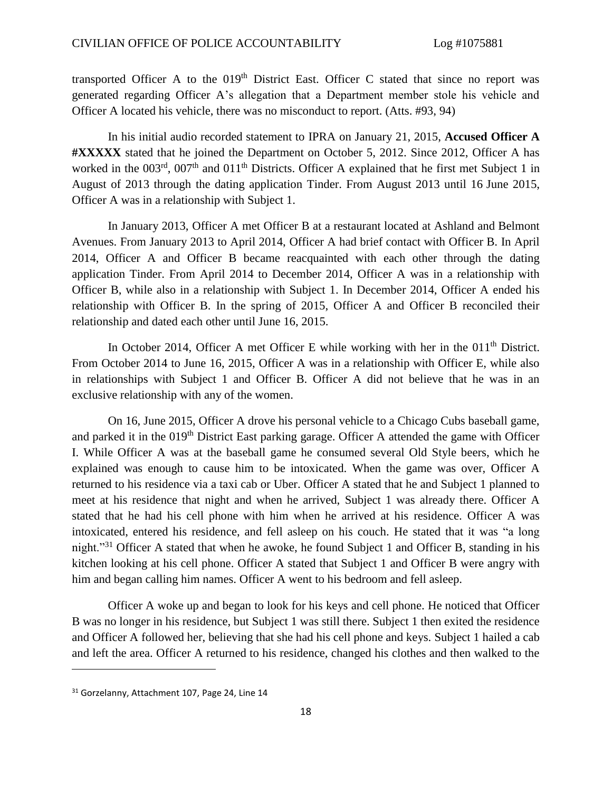transported Officer A to the  $019<sup>th</sup>$  District East. Officer C stated that since no report was generated regarding Officer A's allegation that a Department member stole his vehicle and Officer A located his vehicle, there was no misconduct to report. (Atts. #93, 94)

In his initial audio recorded statement to IPRA on January 21, 2015, **Accused Officer A #XXXXX** stated that he joined the Department on October 5, 2012. Since 2012, Officer A has worked in the 003<sup>rd</sup>, 007<sup>th</sup> and 011<sup>th</sup> Districts. Officer A explained that he first met Subject 1 in August of 2013 through the dating application Tinder. From August 2013 until 16 June 2015, Officer A was in a relationship with Subject 1.

In January 2013, Officer A met Officer B at a restaurant located at Ashland and Belmont Avenues. From January 2013 to April 2014, Officer A had brief contact with Officer B. In April 2014, Officer A and Officer B became reacquainted with each other through the dating application Tinder. From April 2014 to December 2014, Officer A was in a relationship with Officer B, while also in a relationship with Subject 1. In December 2014, Officer A ended his relationship with Officer B. In the spring of 2015, Officer A and Officer B reconciled their relationship and dated each other until June 16, 2015.

In October 2014, Officer A met Officer E while working with her in the 011<sup>th</sup> District. From October 2014 to June 16, 2015, Officer A was in a relationship with Officer E, while also in relationships with Subject 1 and Officer B. Officer A did not believe that he was in an exclusive relationship with any of the women.

On 16, June 2015, Officer A drove his personal vehicle to a Chicago Cubs baseball game, and parked it in the 019<sup>th</sup> District East parking garage. Officer A attended the game with Officer I. While Officer A was at the baseball game he consumed several Old Style beers, which he explained was enough to cause him to be intoxicated. When the game was over, Officer A returned to his residence via a taxi cab or Uber. Officer A stated that he and Subject 1 planned to meet at his residence that night and when he arrived, Subject 1 was already there. Officer A stated that he had his cell phone with him when he arrived at his residence. Officer A was intoxicated, entered his residence, and fell asleep on his couch. He stated that it was "a long night."<sup>31</sup> Officer A stated that when he awoke, he found Subject 1 and Officer B, standing in his kitchen looking at his cell phone. Officer A stated that Subject 1 and Officer B were angry with him and began calling him names. Officer A went to his bedroom and fell asleep.

Officer A woke up and began to look for his keys and cell phone. He noticed that Officer B was no longer in his residence, but Subject 1 was still there. Subject 1 then exited the residence and Officer A followed her, believing that she had his cell phone and keys. Subject 1 hailed a cab and left the area. Officer A returned to his residence, changed his clothes and then walked to the

<sup>&</sup>lt;sup>31</sup> Gorzelanny, Attachment 107, Page 24, Line 14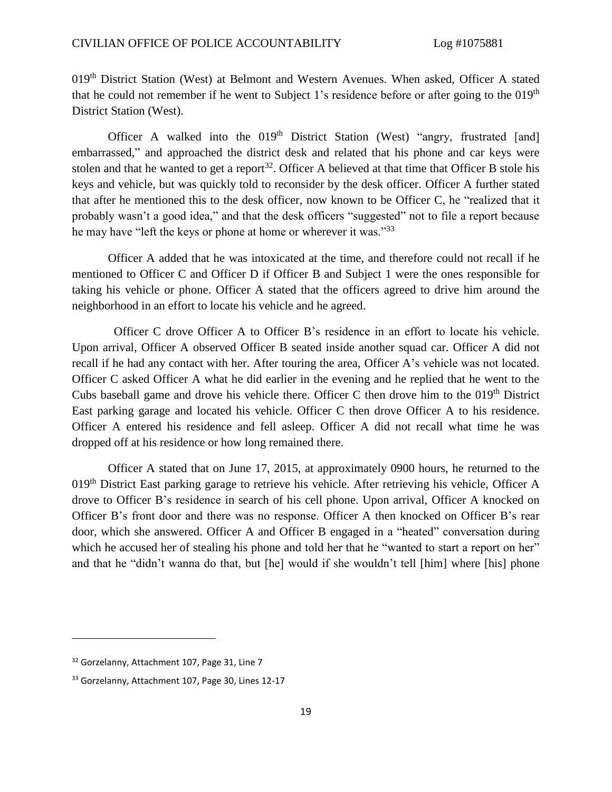019th District Station (West) at Belmont and Western Avenues. When asked, Officer A stated that he could not remember if he went to Subject 1's residence before or after going to the  $019<sup>th</sup>$ District Station (West).

Officer A walked into the 019<sup>th</sup> District Station (West) "angry, frustrated [and] embarrassed," and approached the district desk and related that his phone and car keys were stolen and that he wanted to get a report<sup>32</sup>. Officer A believed at that time that Officer B stole his keys and vehicle, but was quickly told to reconsider by the desk officer. Officer A further stated that after he mentioned this to the desk officer, now known to be Officer C, he "realized that it probably wasn't a good idea," and that the desk officers "suggested" not to file a report because he may have "left the keys or phone at home or wherever it was."<sup>33</sup>

Officer A added that he was intoxicated at the time, and therefore could not recall if he mentioned to Officer C and Officer D if Officer B and Subject 1 were the ones responsible for taking his vehicle or phone. Officer A stated that the officers agreed to drive him around the neighborhood in an effort to locate his vehicle and he agreed.

Officer C drove Officer A to Officer B's residence in an effort to locate his vehicle. Upon arrival, Officer A observed Officer B seated inside another squad car. Officer A did not recall if he had any contact with her. After touring the area, Officer A's vehicle was not located. Officer C asked Officer A what he did earlier in the evening and he replied that he went to the Cubs baseball game and drove his vehicle there. Officer C then drove him to the  $019<sup>th</sup>$  District East parking garage and located his vehicle. Officer C then drove Officer A to his residence. Officer A entered his residence and fell asleep. Officer A did not recall what time he was dropped off at his residence or how long remained there.

Officer A stated that on June 17, 2015, at approximately 0900 hours, he returned to the 019<sup>th</sup> District East parking garage to retrieve his vehicle. After retrieving his vehicle, Officer A drove to Officer B's residence in search of his cell phone. Upon arrival, Officer A knocked on Officer B's front door and there was no response. Officer A then knocked on Officer B's rear door, which she answered. Officer A and Officer B engaged in a "heated" conversation during which he accused her of stealing his phone and told her that he "wanted to start a report on her" and that he "didn't wanna do that, but [he] would if she wouldn't tell [him] where [his] phone

 $\overline{a}$ 

<sup>&</sup>lt;sup>32</sup> Gorzelanny, Attachment 107, Page 31, Line 7

<sup>&</sup>lt;sup>33</sup> Gorzelanny, Attachment 107, Page 30, Lines 12-17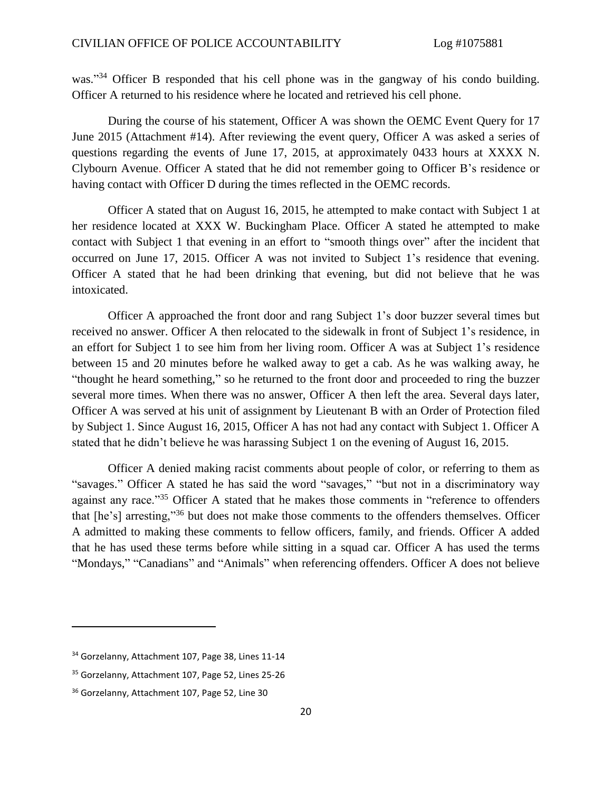was."<sup>34</sup> Officer B responded that his cell phone was in the gangway of his condo building. Officer A returned to his residence where he located and retrieved his cell phone.

During the course of his statement, Officer A was shown the OEMC Event Query for 17 June 2015 (Attachment #14). After reviewing the event query, Officer A was asked a series of questions regarding the events of June 17, 2015, at approximately 0433 hours at XXXX N. Clybourn Avenue. Officer A stated that he did not remember going to Officer B's residence or having contact with Officer D during the times reflected in the OEMC records.

Officer A stated that on August 16, 2015, he attempted to make contact with Subject 1 at her residence located at XXX W. Buckingham Place. Officer A stated he attempted to make contact with Subject 1 that evening in an effort to "smooth things over" after the incident that occurred on June 17, 2015. Officer A was not invited to Subject 1's residence that evening. Officer A stated that he had been drinking that evening, but did not believe that he was intoxicated.

Officer A approached the front door and rang Subject 1's door buzzer several times but received no answer. Officer A then relocated to the sidewalk in front of Subject 1's residence, in an effort for Subject 1 to see him from her living room. Officer A was at Subject 1's residence between 15 and 20 minutes before he walked away to get a cab. As he was walking away, he "thought he heard something," so he returned to the front door and proceeded to ring the buzzer several more times. When there was no answer, Officer A then left the area. Several days later, Officer A was served at his unit of assignment by Lieutenant B with an Order of Protection filed by Subject 1. Since August 16, 2015, Officer A has not had any contact with Subject 1. Officer A stated that he didn't believe he was harassing Subject 1 on the evening of August 16, 2015.

Officer A denied making racist comments about people of color, or referring to them as "savages." Officer A stated he has said the word "savages," "but not in a discriminatory way against any race."<sup>35</sup> Officer A stated that he makes those comments in "reference to offenders" that [he's] arresting," <sup>36</sup> but does not make those comments to the offenders themselves. Officer A admitted to making these comments to fellow officers, family, and friends. Officer A added that he has used these terms before while sitting in a squad car. Officer A has used the terms "Mondays," "Canadians" and "Animals" when referencing offenders. Officer A does not believe

 $\overline{a}$ 

<sup>&</sup>lt;sup>34</sup> Gorzelanny, Attachment 107, Page 38, Lines 11-14

<sup>35</sup> Gorzelanny, Attachment 107, Page 52, Lines 25-26

<sup>&</sup>lt;sup>36</sup> Gorzelanny, Attachment 107, Page 52, Line 30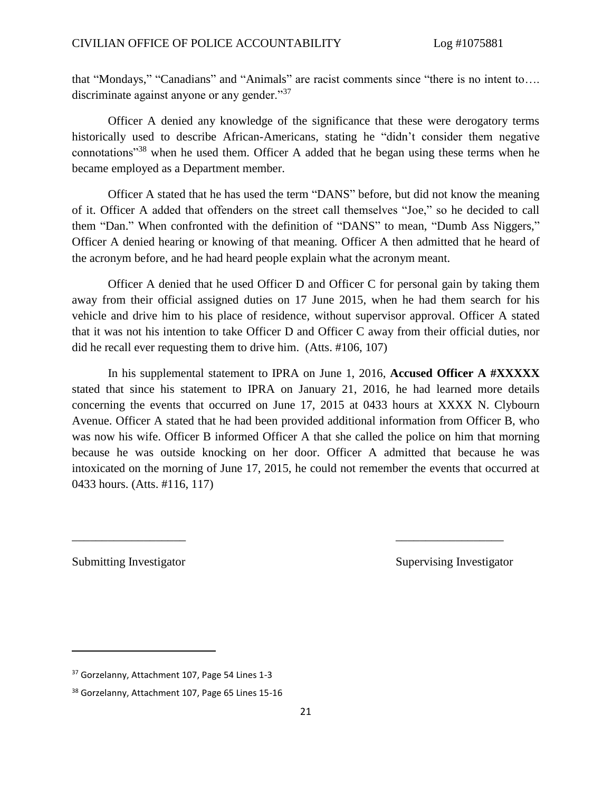that "Mondays," "Canadians" and "Animals" are racist comments since "there is no intent to…. discriminate against anyone or any gender."<sup>37</sup>

Officer A denied any knowledge of the significance that these were derogatory terms historically used to describe African-Americans, stating he "didn't consider them negative connotations"<sup>38</sup> when he used them. Officer A added that he began using these terms when he became employed as a Department member.

Officer A stated that he has used the term "DANS" before, but did not know the meaning of it. Officer A added that offenders on the street call themselves "Joe," so he decided to call them "Dan." When confronted with the definition of "DANS" to mean, "Dumb Ass Niggers," Officer A denied hearing or knowing of that meaning. Officer A then admitted that he heard of the acronym before, and he had heard people explain what the acronym meant.

Officer A denied that he used Officer D and Officer C for personal gain by taking them away from their official assigned duties on 17 June 2015, when he had them search for his vehicle and drive him to his place of residence, without supervisor approval. Officer A stated that it was not his intention to take Officer D and Officer C away from their official duties, nor did he recall ever requesting them to drive him. (Atts. #106, 107)

In his supplemental statement to IPRA on June 1, 2016, **Accused Officer A #XXXXX** stated that since his statement to IPRA on January 21, 2016, he had learned more details concerning the events that occurred on June 17, 2015 at 0433 hours at XXXX N. Clybourn Avenue. Officer A stated that he had been provided additional information from Officer B, who was now his wife. Officer B informed Officer A that she called the police on him that morning because he was outside knocking on her door. Officer A admitted that because he was intoxicated on the morning of June 17, 2015, he could not remember the events that occurred at 0433 hours. (Atts. #116, 117)

\_\_\_\_\_\_\_\_\_\_\_\_\_\_\_\_\_\_\_ \_\_\_\_\_\_\_\_\_\_\_\_\_\_\_\_\_\_

 $\overline{\phantom{a}}$ 

Submitting Investigator Supervising Investigator

<sup>&</sup>lt;sup>37</sup> Gorzelanny, Attachment 107, Page 54 Lines 1-3

<sup>38</sup> Gorzelanny, Attachment 107, Page 65 Lines 15-16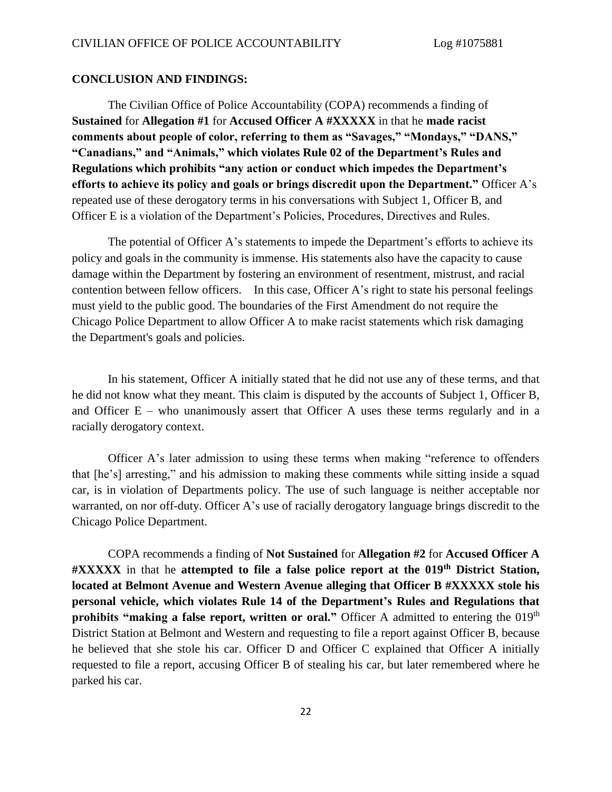#### **CONCLUSION AND FINDINGS:**

The Civilian Office of Police Accountability (COPA) recommends a finding of **Sustained** for **Allegation #1** for **Accused Officer A #XXXXX** in that he **made racist comments about people of color, referring to them as "Savages," "Mondays," "DANS," "Canadians," and "Animals," which violates Rule 02 of the Department's Rules and Regulations which prohibits "any action or conduct which impedes the Department's efforts to achieve its policy and goals or brings discredit upon the Department."** Officer A's repeated use of these derogatory terms in his conversations with Subject 1, Officer B, and Officer E is a violation of the Department's Policies, Procedures, Directives and Rules.

The potential of Officer A's statements to impede the Department's efforts to achieve its policy and goals in the community is immense. His statements also have the capacity to cause damage within the Department by fostering an environment of resentment, mistrust, and racial contention between fellow officers. In this case, Officer A's right to state his personal feelings must yield to the public good. The boundaries of the First Amendment do not require the Chicago Police Department to allow Officer A to make racist statements which risk damaging the Department's goals and policies.

In his statement, Officer A initially stated that he did not use any of these terms, and that he did not know what they meant. This claim is disputed by the accounts of Subject 1, Officer B, and Officer  $E$  – who unanimously assert that Officer A uses these terms regularly and in a racially derogatory context.

Officer A's later admission to using these terms when making "reference to offenders that [he's] arresting," and his admission to making these comments while sitting inside a squad car, is in violation of Departments policy. The use of such language is neither acceptable nor warranted, on nor off-duty. Officer A's use of racially derogatory language brings discredit to the Chicago Police Department.

COPA recommends a finding of **Not Sustained** for **Allegation #2** for **Accused Officer A #XXXXX** in that he **attempted to file a false police report at the 019th District Station, located at Belmont Avenue and Western Avenue alleging that Officer B #XXXXX stole his personal vehicle, which violates Rule 14 of the Department's Rules and Regulations that prohibits "making a false report, written or oral."** Officer A admitted to entering the 019<sup>th</sup> District Station at Belmont and Western and requesting to file a report against Officer B, because he believed that she stole his car. Officer D and Officer C explained that Officer A initially requested to file a report, accusing Officer B of stealing his car, but later remembered where he parked his car.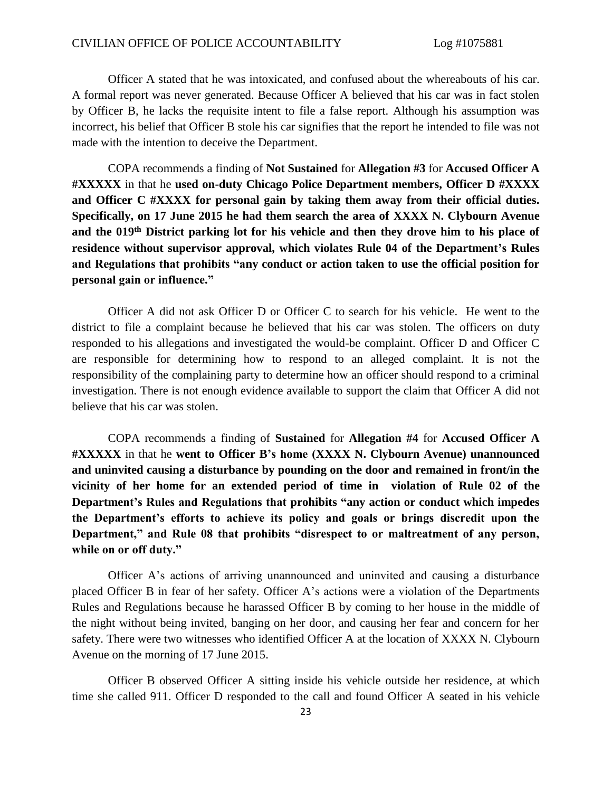Officer A stated that he was intoxicated, and confused about the whereabouts of his car. A formal report was never generated. Because Officer A believed that his car was in fact stolen by Officer B, he lacks the requisite intent to file a false report. Although his assumption was incorrect, his belief that Officer B stole his car signifies that the report he intended to file was not made with the intention to deceive the Department.

COPA recommends a finding of **Not Sustained** for **Allegation #3** for **Accused Officer A #XXXXX** in that he **used on-duty Chicago Police Department members, Officer D #XXXX and Officer C #XXXX for personal gain by taking them away from their official duties. Specifically, on 17 June 2015 he had them search the area of XXXX N. Clybourn Avenue and the 019th District parking lot for his vehicle and then they drove him to his place of residence without supervisor approval, which violates Rule 04 of the Department's Rules and Regulations that prohibits "any conduct or action taken to use the official position for personal gain or influence."**

Officer A did not ask Officer D or Officer C to search for his vehicle. He went to the district to file a complaint because he believed that his car was stolen. The officers on duty responded to his allegations and investigated the would-be complaint. Officer D and Officer C are responsible for determining how to respond to an alleged complaint. It is not the responsibility of the complaining party to determine how an officer should respond to a criminal investigation. There is not enough evidence available to support the claim that Officer A did not believe that his car was stolen.

COPA recommends a finding of **Sustained** for **Allegation #4** for **Accused Officer A #XXXXX** in that he **went to Officer B's home (XXXX N. Clybourn Avenue) unannounced and uninvited causing a disturbance by pounding on the door and remained in front/in the vicinity of her home for an extended period of time in violation of Rule 02 of the Department's Rules and Regulations that prohibits "any action or conduct which impedes the Department's efforts to achieve its policy and goals or brings discredit upon the Department," and Rule 08 that prohibits "disrespect to or maltreatment of any person, while on or off duty."**

Officer A's actions of arriving unannounced and uninvited and causing a disturbance placed Officer B in fear of her safety. Officer A's actions were a violation of the Departments Rules and Regulations because he harassed Officer B by coming to her house in the middle of the night without being invited, banging on her door, and causing her fear and concern for her safety. There were two witnesses who identified Officer A at the location of XXXX N. Clybourn Avenue on the morning of 17 June 2015.

Officer B observed Officer A sitting inside his vehicle outside her residence, at which time she called 911. Officer D responded to the call and found Officer A seated in his vehicle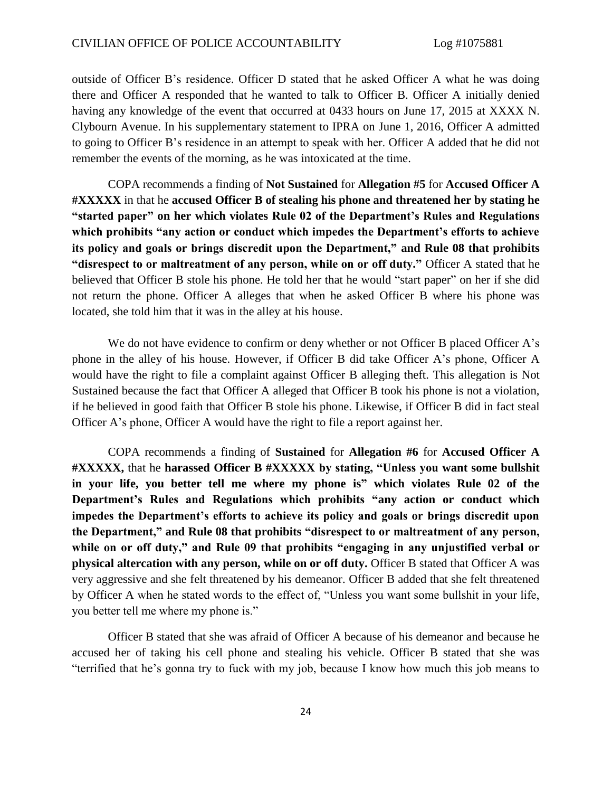outside of Officer B's residence. Officer D stated that he asked Officer A what he was doing there and Officer A responded that he wanted to talk to Officer B. Officer A initially denied having any knowledge of the event that occurred at 0433 hours on June 17, 2015 at XXXX N. Clybourn Avenue. In his supplementary statement to IPRA on June 1, 2016, Officer A admitted to going to Officer B's residence in an attempt to speak with her. Officer A added that he did not remember the events of the morning, as he was intoxicated at the time.

COPA recommends a finding of **Not Sustained** for **Allegation #5** for **Accused Officer A #XXXXX** in that he **accused Officer B of stealing his phone and threatened her by stating he "started paper" on her which violates Rule 02 of the Department's Rules and Regulations which prohibits "any action or conduct which impedes the Department's efforts to achieve its policy and goals or brings discredit upon the Department," and Rule 08 that prohibits "disrespect to or maltreatment of any person, while on or off duty."** Officer A stated that he believed that Officer B stole his phone. He told her that he would "start paper" on her if she did not return the phone. Officer A alleges that when he asked Officer B where his phone was located, she told him that it was in the alley at his house.

We do not have evidence to confirm or deny whether or not Officer B placed Officer A's phone in the alley of his house. However, if Officer B did take Officer A's phone, Officer A would have the right to file a complaint against Officer B alleging theft. This allegation is Not Sustained because the fact that Officer A alleged that Officer B took his phone is not a violation, if he believed in good faith that Officer B stole his phone. Likewise, if Officer B did in fact steal Officer A's phone, Officer A would have the right to file a report against her.

COPA recommends a finding of **Sustained** for **Allegation #6** for **Accused Officer A #XXXXX,** that he **harassed Officer B #XXXXX by stating, "Unless you want some bullshit in your life, you better tell me where my phone is" which violates Rule 02 of the Department's Rules and Regulations which prohibits "any action or conduct which impedes the Department's efforts to achieve its policy and goals or brings discredit upon the Department," and Rule 08 that prohibits "disrespect to or maltreatment of any person, while on or off duty," and Rule 09 that prohibits "engaging in any unjustified verbal or physical altercation with any person, while on or off duty.** Officer B stated that Officer A was very aggressive and she felt threatened by his demeanor. Officer B added that she felt threatened by Officer A when he stated words to the effect of, "Unless you want some bullshit in your life, you better tell me where my phone is."

Officer B stated that she was afraid of Officer A because of his demeanor and because he accused her of taking his cell phone and stealing his vehicle. Officer B stated that she was "terrified that he's gonna try to fuck with my job, because I know how much this job means to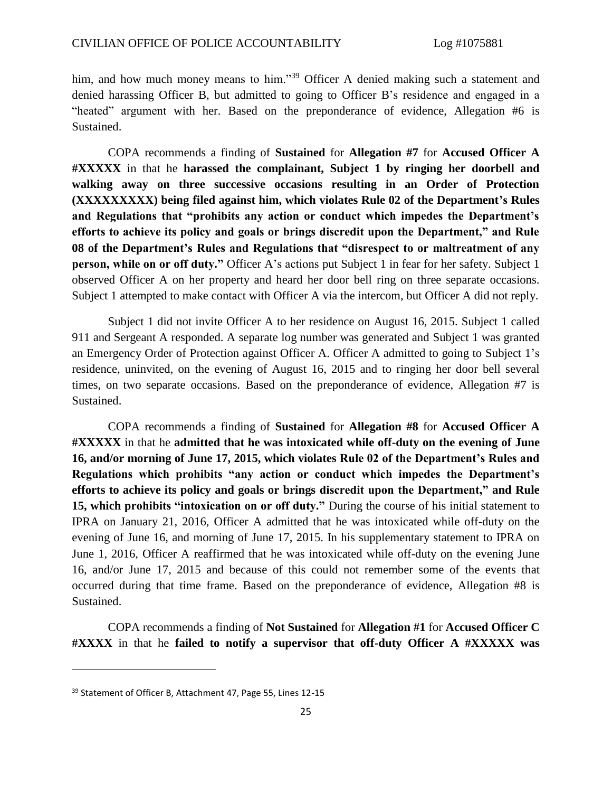him, and how much money means to him."<sup>39</sup> Officer A denied making such a statement and denied harassing Officer B, but admitted to going to Officer B's residence and engaged in a "heated" argument with her. Based on the preponderance of evidence, Allegation #6 is Sustained.

COPA recommends a finding of **Sustained** for **Allegation #7** for **Accused Officer A #XXXXX** in that he **harassed the complainant, Subject 1 by ringing her doorbell and walking away on three successive occasions resulting in an Order of Protection (XXXXXXXXX) being filed against him, which violates Rule 02 of the Department's Rules and Regulations that "prohibits any action or conduct which impedes the Department's efforts to achieve its policy and goals or brings discredit upon the Department," and Rule 08 of the Department's Rules and Regulations that "disrespect to or maltreatment of any person, while on or off duty."** Officer A's actions put Subject 1 in fear for her safety. Subject 1 observed Officer A on her property and heard her door bell ring on three separate occasions. Subject 1 attempted to make contact with Officer A via the intercom, but Officer A did not reply.

Subject 1 did not invite Officer A to her residence on August 16, 2015. Subject 1 called 911 and Sergeant A responded. A separate log number was generated and Subject 1 was granted an Emergency Order of Protection against Officer A. Officer A admitted to going to Subject 1's residence, uninvited, on the evening of August 16, 2015 and to ringing her door bell several times, on two separate occasions. Based on the preponderance of evidence, Allegation #7 is Sustained.

COPA recommends a finding of **Sustained** for **Allegation #8** for **Accused Officer A #XXXXX** in that he **admitted that he was intoxicated while off-duty on the evening of June 16, and/or morning of June 17, 2015, which violates Rule 02 of the Department's Rules and Regulations which prohibits "any action or conduct which impedes the Department's efforts to achieve its policy and goals or brings discredit upon the Department," and Rule 15, which prohibits "intoxication on or off duty."** During the course of his initial statement to IPRA on January 21, 2016, Officer A admitted that he was intoxicated while off-duty on the evening of June 16, and morning of June 17, 2015. In his supplementary statement to IPRA on June 1, 2016, Officer A reaffirmed that he was intoxicated while off-duty on the evening June 16, and/or June 17, 2015 and because of this could not remember some of the events that occurred during that time frame. Based on the preponderance of evidence, Allegation #8 is Sustained.

COPA recommends a finding of **Not Sustained** for **Allegation #1** for **Accused Officer C #XXXX** in that he **failed to notify a supervisor that off-duty Officer A #XXXXX was** 

<sup>&</sup>lt;sup>39</sup> Statement of Officer B, Attachment 47, Page 55, Lines 12-15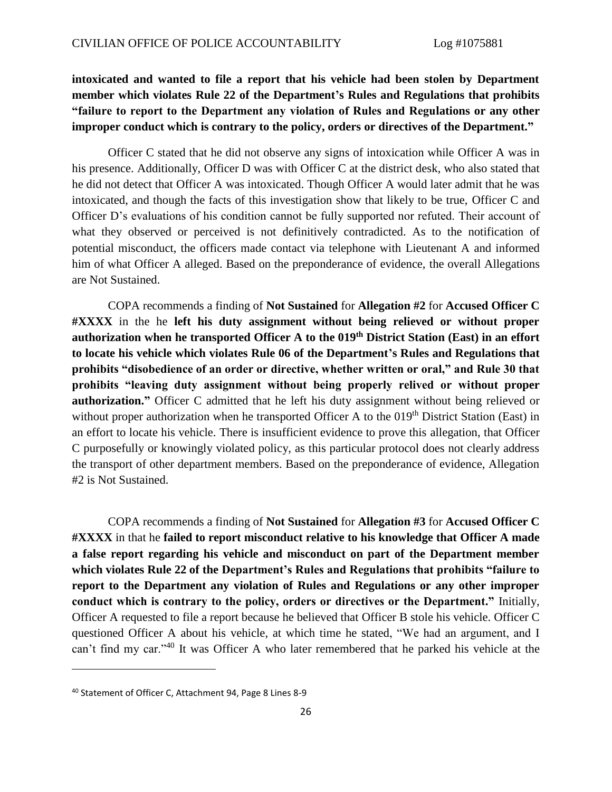# **intoxicated and wanted to file a report that his vehicle had been stolen by Department member which violates Rule 22 of the Department's Rules and Regulations that prohibits "failure to report to the Department any violation of Rules and Regulations or any other improper conduct which is contrary to the policy, orders or directives of the Department."**

Officer C stated that he did not observe any signs of intoxication while Officer A was in his presence. Additionally, Officer D was with Officer C at the district desk, who also stated that he did not detect that Officer A was intoxicated. Though Officer A would later admit that he was intoxicated, and though the facts of this investigation show that likely to be true, Officer C and Officer D's evaluations of his condition cannot be fully supported nor refuted. Their account of what they observed or perceived is not definitively contradicted. As to the notification of potential misconduct, the officers made contact via telephone with Lieutenant A and informed him of what Officer A alleged. Based on the preponderance of evidence, the overall Allegations are Not Sustained.

COPA recommends a finding of **Not Sustained** for **Allegation #2** for **Accused Officer C #XXXX** in the he **left his duty assignment without being relieved or without proper authorization when he transported Officer A to the 019th District Station (East) in an effort to locate his vehicle which violates Rule 06 of the Department's Rules and Regulations that prohibits "disobedience of an order or directive, whether written or oral," and Rule 30 that prohibits "leaving duty assignment without being properly relived or without proper authorization."** Officer C admitted that he left his duty assignment without being relieved or without proper authorization when he transported Officer A to the 019<sup>th</sup> District Station (East) in an effort to locate his vehicle. There is insufficient evidence to prove this allegation, that Officer C purposefully or knowingly violated policy, as this particular protocol does not clearly address the transport of other department members. Based on the preponderance of evidence, Allegation #2 is Not Sustained.

COPA recommends a finding of **Not Sustained** for **Allegation #3** for **Accused Officer C #XXXX** in that he **failed to report misconduct relative to his knowledge that Officer A made a false report regarding his vehicle and misconduct on part of the Department member which violates Rule 22 of the Department's Rules and Regulations that prohibits "failure to report to the Department any violation of Rules and Regulations or any other improper conduct which is contrary to the policy, orders or directives or the Department."** Initially, Officer A requested to file a report because he believed that Officer B stole his vehicle. Officer C questioned Officer A about his vehicle, at which time he stated, "We had an argument, and I can't find my car."<sup>40</sup> It was Officer A who later remembered that he parked his vehicle at the

<sup>40</sup> Statement of Officer C, Attachment 94, Page 8 Lines 8-9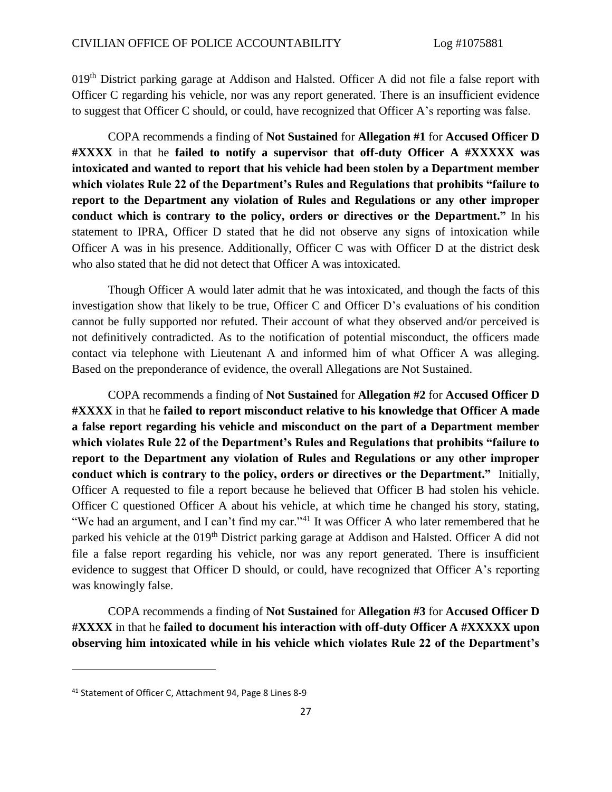019<sup>th</sup> District parking garage at Addison and Halsted. Officer A did not file a false report with Officer C regarding his vehicle, nor was any report generated. There is an insufficient evidence to suggest that Officer C should, or could, have recognized that Officer A's reporting was false.

COPA recommends a finding of **Not Sustained** for **Allegation #1** for **Accused Officer D #XXXX** in that he **failed to notify a supervisor that off-duty Officer A #XXXXX was intoxicated and wanted to report that his vehicle had been stolen by a Department member which violates Rule 22 of the Department's Rules and Regulations that prohibits "failure to report to the Department any violation of Rules and Regulations or any other improper conduct which is contrary to the policy, orders or directives or the Department."** In his statement to IPRA, Officer D stated that he did not observe any signs of intoxication while Officer A was in his presence. Additionally, Officer C was with Officer D at the district desk who also stated that he did not detect that Officer A was intoxicated.

Though Officer A would later admit that he was intoxicated, and though the facts of this investigation show that likely to be true, Officer C and Officer D's evaluations of his condition cannot be fully supported nor refuted. Their account of what they observed and/or perceived is not definitively contradicted. As to the notification of potential misconduct, the officers made contact via telephone with Lieutenant A and informed him of what Officer A was alleging. Based on the preponderance of evidence, the overall Allegations are Not Sustained.

COPA recommends a finding of **Not Sustained** for **Allegation #2** for **Accused Officer D #XXXX** in that he **failed to report misconduct relative to his knowledge that Officer A made a false report regarding his vehicle and misconduct on the part of a Department member which violates Rule 22 of the Department's Rules and Regulations that prohibits "failure to report to the Department any violation of Rules and Regulations or any other improper conduct which is contrary to the policy, orders or directives or the Department."** Initially, Officer A requested to file a report because he believed that Officer B had stolen his vehicle. Officer C questioned Officer A about his vehicle, at which time he changed his story, stating, "We had an argument, and I can't find my car."<sup>41</sup> It was Officer A who later remembered that he parked his vehicle at the 019<sup>th</sup> District parking garage at Addison and Halsted. Officer A did not file a false report regarding his vehicle, nor was any report generated. There is insufficient evidence to suggest that Officer D should, or could, have recognized that Officer A's reporting was knowingly false.

COPA recommends a finding of **Not Sustained** for **Allegation #3** for **Accused Officer D #XXXX** in that he **failed to document his interaction with off-duty Officer A #XXXXX upon observing him intoxicated while in his vehicle which violates Rule 22 of the Department's** 

<sup>41</sup> Statement of Officer C, Attachment 94, Page 8 Lines 8-9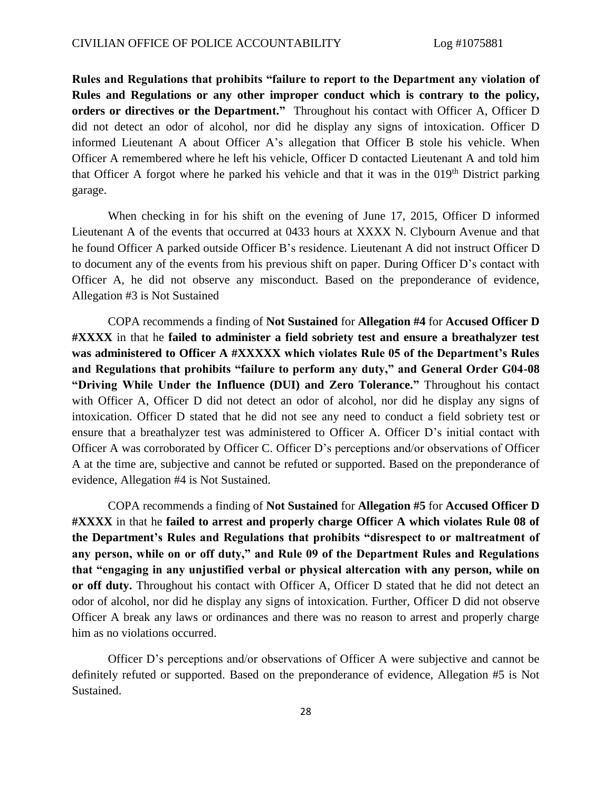**Rules and Regulations that prohibits "failure to report to the Department any violation of Rules and Regulations or any other improper conduct which is contrary to the policy, orders or directives or the Department."** Throughout his contact with Officer A, Officer D did not detect an odor of alcohol, nor did he display any signs of intoxication. Officer D informed Lieutenant A about Officer A's allegation that Officer B stole his vehicle. When Officer A remembered where he left his vehicle, Officer D contacted Lieutenant A and told him that Officer A forgot where he parked his vehicle and that it was in the  $019<sup>th</sup>$  District parking garage.

When checking in for his shift on the evening of June 17, 2015, Officer D informed Lieutenant A of the events that occurred at 0433 hours at XXXX N. Clybourn Avenue and that he found Officer A parked outside Officer B's residence. Lieutenant A did not instruct Officer D to document any of the events from his previous shift on paper. During Officer D's contact with Officer A, he did not observe any misconduct. Based on the preponderance of evidence, Allegation #3 is Not Sustained

COPA recommends a finding of **Not Sustained** for **Allegation #4** for **Accused Officer D #XXXX** in that he **failed to administer a field sobriety test and ensure a breathalyzer test was administered to Officer A #XXXXX which violates Rule 05 of the Department's Rules and Regulations that prohibits "failure to perform any duty," and General Order G04-08 "Driving While Under the Influence (DUI) and Zero Tolerance."** Throughout his contact with Officer A, Officer D did not detect an odor of alcohol, nor did he display any signs of intoxication. Officer D stated that he did not see any need to conduct a field sobriety test or ensure that a breathalyzer test was administered to Officer A. Officer D's initial contact with Officer A was corroborated by Officer C. Officer D's perceptions and/or observations of Officer A at the time are, subjective and cannot be refuted or supported. Based on the preponderance of evidence, Allegation #4 is Not Sustained.

COPA recommends a finding of **Not Sustained** for **Allegation #5** for **Accused Officer D #XXXX** in that he **failed to arrest and properly charge Officer A which violates Rule 08 of the Department's Rules and Regulations that prohibits "disrespect to or maltreatment of any person, while on or off duty," and Rule 09 of the Department Rules and Regulations that "engaging in any unjustified verbal or physical altercation with any person, while on or off duty.** Throughout his contact with Officer A, Officer D stated that he did not detect an odor of alcohol, nor did he display any signs of intoxication. Further, Officer D did not observe Officer A break any laws or ordinances and there was no reason to arrest and properly charge him as no violations occurred.

Officer D's perceptions and/or observations of Officer A were subjective and cannot be definitely refuted or supported. Based on the preponderance of evidence, Allegation #5 is Not Sustained.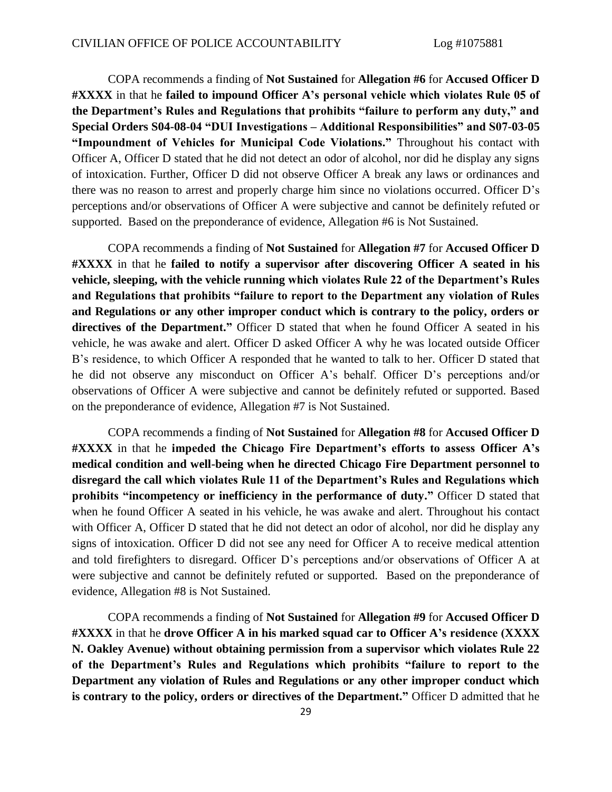COPA recommends a finding of **Not Sustained** for **Allegation #6** for **Accused Officer D #XXXX** in that he **failed to impound Officer A's personal vehicle which violates Rule 05 of the Department's Rules and Regulations that prohibits "failure to perform any duty," and Special Orders S04-08-04 "DUI Investigations – Additional Responsibilities" and S07-03-05 "Impoundment of Vehicles for Municipal Code Violations."** Throughout his contact with Officer A, Officer D stated that he did not detect an odor of alcohol, nor did he display any signs of intoxication. Further, Officer D did not observe Officer A break any laws or ordinances and there was no reason to arrest and properly charge him since no violations occurred. Officer D's perceptions and/or observations of Officer A were subjective and cannot be definitely refuted or supported. Based on the preponderance of evidence, Allegation #6 is Not Sustained.

COPA recommends a finding of **Not Sustained** for **Allegation #7** for **Accused Officer D #XXXX** in that he **failed to notify a supervisor after discovering Officer A seated in his vehicle, sleeping, with the vehicle running which violates Rule 22 of the Department's Rules and Regulations that prohibits "failure to report to the Department any violation of Rules and Regulations or any other improper conduct which is contrary to the policy, orders or**  directives of the Department." Officer D stated that when he found Officer A seated in his vehicle, he was awake and alert. Officer D asked Officer A why he was located outside Officer B's residence, to which Officer A responded that he wanted to talk to her. Officer D stated that he did not observe any misconduct on Officer A's behalf. Officer D's perceptions and/or observations of Officer A were subjective and cannot be definitely refuted or supported. Based on the preponderance of evidence, Allegation #7 is Not Sustained.

COPA recommends a finding of **Not Sustained** for **Allegation #8** for **Accused Officer D #XXXX** in that he **impeded the Chicago Fire Department's efforts to assess Officer A's medical condition and well-being when he directed Chicago Fire Department personnel to disregard the call which violates Rule 11 of the Department's Rules and Regulations which prohibits "incompetency or inefficiency in the performance of duty."** Officer D stated that when he found Officer A seated in his vehicle, he was awake and alert. Throughout his contact with Officer A, Officer D stated that he did not detect an odor of alcohol, nor did he display any signs of intoxication. Officer D did not see any need for Officer A to receive medical attention and told firefighters to disregard. Officer D's perceptions and/or observations of Officer A at were subjective and cannot be definitely refuted or supported. Based on the preponderance of evidence, Allegation #8 is Not Sustained.

COPA recommends a finding of **Not Sustained** for **Allegation #9** for **Accused Officer D #XXXX** in that he **drove Officer A in his marked squad car to Officer A's residence (XXXX N. Oakley Avenue) without obtaining permission from a supervisor which violates Rule 22 of the Department's Rules and Regulations which prohibits "failure to report to the Department any violation of Rules and Regulations or any other improper conduct which is contrary to the policy, orders or directives of the Department."** Officer D admitted that he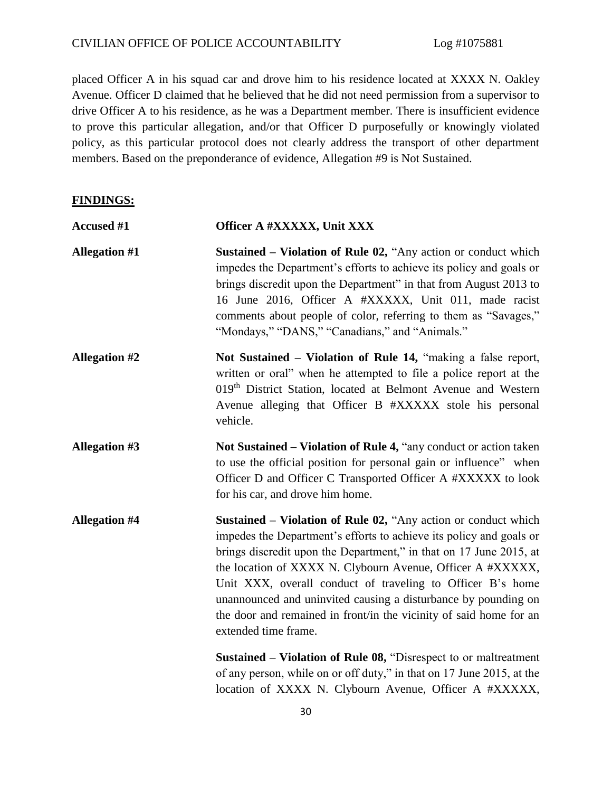placed Officer A in his squad car and drove him to his residence located at XXXX N. Oakley Avenue. Officer D claimed that he believed that he did not need permission from a supervisor to drive Officer A to his residence, as he was a Department member. There is insufficient evidence to prove this particular allegation, and/or that Officer D purposefully or knowingly violated policy, as this particular protocol does not clearly address the transport of other department members. Based on the preponderance of evidence, Allegation #9 is Not Sustained.

#### **FINDINGS:**

| <b>Accused #1</b>    | Officer A #XXXXX, Unit XXX                                                                                                                                                                                                                                                                                                                                                                                                                                                                                                                                                  |
|----------------------|-----------------------------------------------------------------------------------------------------------------------------------------------------------------------------------------------------------------------------------------------------------------------------------------------------------------------------------------------------------------------------------------------------------------------------------------------------------------------------------------------------------------------------------------------------------------------------|
| <b>Allegation #1</b> | Sustained – Violation of Rule 02, "Any action or conduct which<br>impedes the Department's efforts to achieve its policy and goals or<br>brings discredit upon the Department" in that from August 2013 to<br>16 June 2016, Officer A #XXXXX, Unit 011, made racist<br>comments about people of color, referring to them as "Savages,"<br>"Mondays," "DANS," "Canadians," and "Animals."                                                                                                                                                                                    |
| <b>Allegation #2</b> | Not Sustained – Violation of Rule 14, "making a false report,<br>written or oral" when he attempted to file a police report at the<br>019th District Station, located at Belmont Avenue and Western<br>Avenue alleging that Officer B #XXXXX stole his personal<br>vehicle.                                                                                                                                                                                                                                                                                                 |
| <b>Allegation #3</b> | Not Sustained – Violation of Rule 4, "any conduct or action taken"<br>to use the official position for personal gain or influence" when<br>Officer D and Officer C Transported Officer A #XXXXX to look<br>for his car, and drove him home.                                                                                                                                                                                                                                                                                                                                 |
| <b>Allegation #4</b> | Sustained – Violation of Rule 02, "Any action or conduct which<br>impedes the Department's efforts to achieve its policy and goals or<br>brings discredit upon the Department," in that on 17 June 2015, at<br>the location of XXXX N. Clybourn Avenue, Officer A #XXXXX,<br>Unit XXX, overall conduct of traveling to Officer B's home<br>unannounced and uninvited causing a disturbance by pounding on<br>the door and remained in front/in the vicinity of said home for an<br>extended time frame.<br>Sustained – Violation of Rule 08, "Disrespect to or maltreatment |
|                      | $11$ $001 + 22$ $11 + 17$ $0015 + 1$                                                                                                                                                                                                                                                                                                                                                                                                                                                                                                                                        |

of any person, while on or off duty," in that on 17 June 2015, at the location of XXXX N. Clybourn Avenue, Officer A #XXXXX,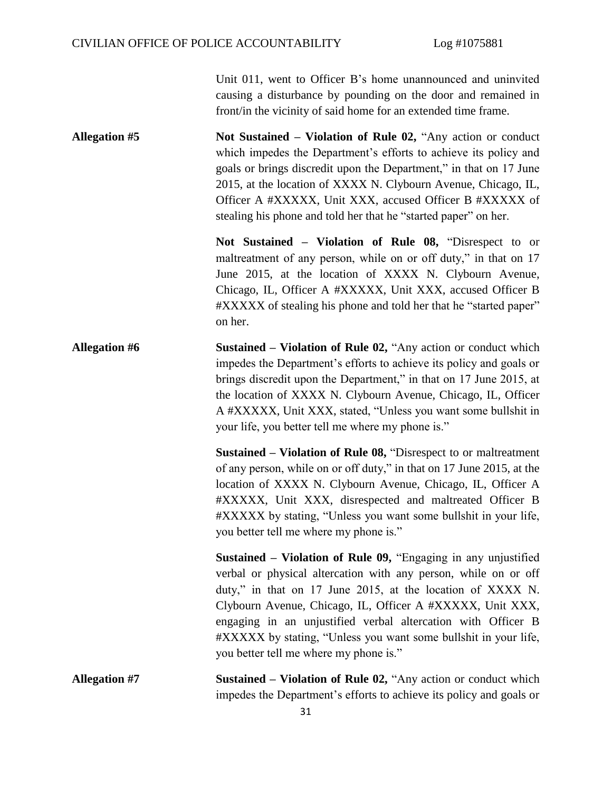Unit 011, went to Officer B's home unannounced and uninvited causing a disturbance by pounding on the door and remained in front/in the vicinity of said home for an extended time frame.

**Allegation #5 Not Sustained – Violation of Rule 02,** "Any action or conduct which impedes the Department's efforts to achieve its policy and goals or brings discredit upon the Department," in that on 17 June 2015, at the location of XXXX N. Clybourn Avenue, Chicago, IL, Officer A #XXXXX, Unit XXX, accused Officer B #XXXXX of stealing his phone and told her that he "started paper" on her.

> **Not Sustained – Violation of Rule 08,** "Disrespect to or maltreatment of any person, while on or off duty," in that on 17 June 2015, at the location of XXXX N. Clybourn Avenue, Chicago, IL, Officer A #XXXXX, Unit XXX, accused Officer B #XXXXX of stealing his phone and told her that he "started paper" on her.

**Allegation #6 Sustained – Violation of Rule 02,** "Any action or conduct which impedes the Department's efforts to achieve its policy and goals or brings discredit upon the Department," in that on 17 June 2015, at the location of XXXX N. Clybourn Avenue, Chicago, IL, Officer A #XXXXX, Unit XXX, stated, "Unless you want some bullshit in your life, you better tell me where my phone is."

> **Sustained – Violation of Rule 08,** "Disrespect to or maltreatment of any person, while on or off duty," in that on 17 June 2015, at the location of XXXX N. Clybourn Avenue, Chicago, IL, Officer A #XXXXX, Unit XXX, disrespected and maltreated Officer B #XXXXX by stating, "Unless you want some bullshit in your life, you better tell me where my phone is."

> **Sustained – Violation of Rule 09,** "Engaging in any unjustified verbal or physical altercation with any person, while on or off duty," in that on 17 June 2015, at the location of XXXX N. Clybourn Avenue, Chicago, IL, Officer A #XXXXX, Unit XXX, engaging in an unjustified verbal altercation with Officer B #XXXXX by stating, "Unless you want some bullshit in your life, you better tell me where my phone is."

**Allegation #7 Sustained – Violation of Rule 02,** "Any action or conduct which impedes the Department's efforts to achieve its policy and goals or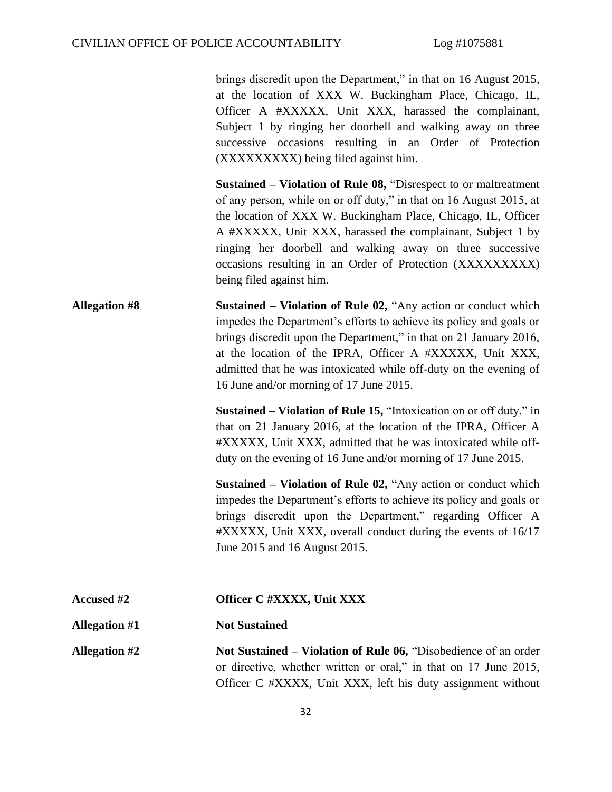brings discredit upon the Department," in that on 16 August 2015, at the location of XXX W. Buckingham Place, Chicago, IL, Officer A #XXXXX, Unit XXX, harassed the complainant, Subject 1 by ringing her doorbell and walking away on three successive occasions resulting in an Order of Protection (XXXXXXXXX) being filed against him.

**Sustained – Violation of Rule 08,** "Disrespect to or maltreatment of any person, while on or off duty," in that on 16 August 2015, at the location of XXX W. Buckingham Place, Chicago, IL, Officer A #XXXXX, Unit XXX, harassed the complainant, Subject 1 by ringing her doorbell and walking away on three successive occasions resulting in an Order of Protection (XXXXXXXXX) being filed against him.

**Allegation #8 Sustained – Violation of Rule 02,** "Any action or conduct which impedes the Department's efforts to achieve its policy and goals or brings discredit upon the Department," in that on 21 January 2016, at the location of the IPRA, Officer A #XXXXX, Unit XXX, admitted that he was intoxicated while off-duty on the evening of 16 June and/or morning of 17 June 2015.

> **Sustained – Violation of Rule 15,** "Intoxication on or off duty," in that on 21 January 2016, at the location of the IPRA, Officer A #XXXXX, Unit XXX, admitted that he was intoxicated while offduty on the evening of 16 June and/or morning of 17 June 2015.

> **Sustained – Violation of Rule 02,** "Any action or conduct which impedes the Department's efforts to achieve its policy and goals or brings discredit upon the Department," regarding Officer A #XXXXX, Unit XXX, overall conduct during the events of 16/17 June 2015 and 16 August 2015.

| <b>Accused #2</b>    | Officer C #XXXX, Unit XXX                                                                                                           |
|----------------------|-------------------------------------------------------------------------------------------------------------------------------------|
| <b>Allegation #1</b> | <b>Not Sustained</b>                                                                                                                |
| <b>Allegation #2</b> | Not Sustained – Violation of Rule 06, "Disobedience of an order<br>or directive, whether written or oral," in that on 17 June 2015, |
|                      | Officer C #XXXX, Unit XXX, left his duty assignment without                                                                         |